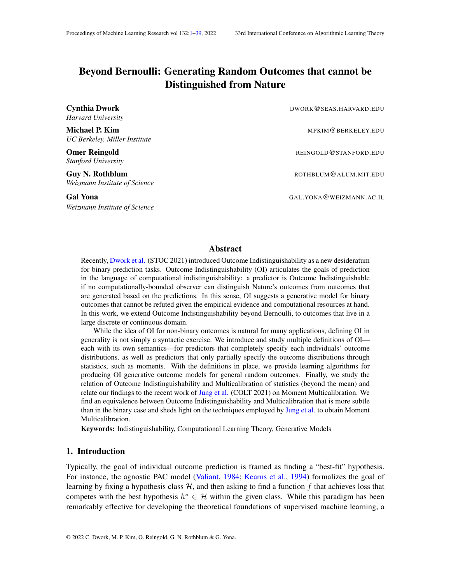# <span id="page-0-0"></span>Beyond Bernoulli: Generating Random Outcomes that cannot be Distinguished from Nature

**Cynthia Dwork** DWORK OSEAS.HARVARD.EDU *Harvard University*

*UC Berkeley, Miller Institute*

*Stanford University*

*Weizmann Institute of Science*

Gal Yona GAL.YONA@WEIZMANN.AC.IL *Weizmann Institute of Science*

Michael P. Kim Metal Absolute Communication of the MPKIM@BERKELEY.EDU Omer Reingold **REINGOLD@STANFORD.EDU Guy N. Rothblum** ROTHBLUM@ALUM.MIT.EDU

## Abstract

Recently, [Dwork et al.](#page-37-0) (STOC 2021) introduced Outcome Indistinguishability as a new desideratum for binary prediction tasks. Outcome Indistinguishability (OI) articulates the goals of prediction in the language of computational indistinguishability: a predictor is Outcome Indistinguishable if no computationally-bounded observer can distinguish Nature's outcomes from outcomes that are generated based on the predictions. In this sense, OI suggests a generative model for binary outcomes that cannot be refuted given the empirical evidence and computational resources at hand. In this work, we extend Outcome Indistinguishability beyond Bernoulli, to outcomes that live in a large discrete or continuous domain.

While the idea of OI for non-binary outcomes is natural for many applications, defining OI in generality is not simply a syntactic exercise. We introduce and study multiple definitions of OI each with its own semantics—for predictors that completely specify each individuals' outcome distributions, as well as predictors that only partially specify the outcome distributions through statistics, such as moments. With the definitions in place, we provide learning algorithms for producing OI generative outcome models for general random outcomes. Finally, we study the relation of Outcome Indistinguishability and Multicalibration of statistics (beyond the mean) and relate our findings to the recent work of [Jung et al.](#page-38-1) (COLT 2021) on Moment Multicalibration. We find an equivalence between Outcome Indistinguishability and Multicalibration that is more subtle than in the binary case and sheds light on the techniques employed by [Jung et al.](#page-38-1) to obtain Moment Multicalibration.

Keywords: Indistinguishability, Computational Learning Theory, Generative Models

## 1. Introduction

Typically, the goal of individual outcome prediction is framed as finding a "best-fit" hypothesis. For instance, the agnostic PAC model [\(Valiant,](#page-38-2) [1984;](#page-38-2) [Kearns et al.,](#page-38-3) [1994\)](#page-38-3) formalizes the goal of learning by fixing a hypothesis class  $H$ , and then asking to find a function f that achieves loss that competes with the best hypothesis  $h^* \in \mathcal{H}$  within the given class. While this paradigm has been remarkably effective for developing the theoretical foundations of supervised machine learning, a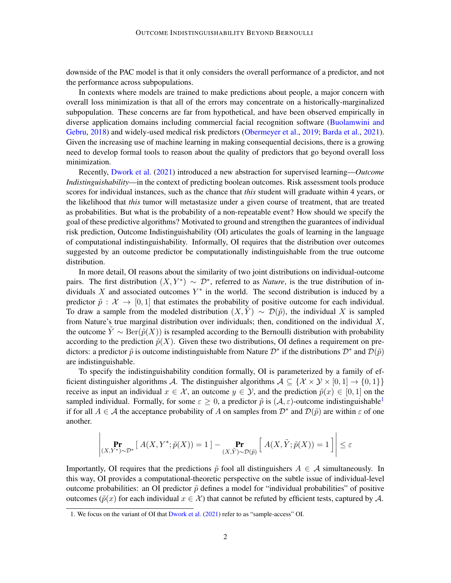downside of the PAC model is that it only considers the overall performance of a predictor, and not the performance across subpopulations.

In contexts where models are trained to make predictions about people, a major concern with overall loss minimization is that all of the errors may concentrate on a historically-marginalized subpopulation. These concerns are far from hypothetical, and have been observed empirically in diverse application domains including commercial facial recognition software [\(Buolamwini and](#page-37-1) [Gebru,](#page-37-1) [2018\)](#page-37-1) and widely-used medical risk predictors [\(Obermeyer et al.,](#page-38-4) [2019;](#page-38-4) [Barda et al.,](#page-37-2) [2021\)](#page-37-2). Given the increasing use of machine learning in making consequential decisions, there is a growing need to develop formal tools to reason about the quality of predictors that go beyond overall loss minimization.

Recently, [Dwork et al.](#page-37-0) [\(2021\)](#page-37-0) introduced a new abstraction for supervised learning—*Outcome Indistinguishability*—in the context of predicting boolean outcomes. Risk assessment tools produce scores for individual instances, such as the chance that *this* student will graduate within 4 years, or the likelihood that *this* tumor will metastasize under a given course of treatment, that are treated as probabilities. But what is the probability of a non-repeatable event? How should we specify the goal of these predictive algorithms? Motivated to ground and strengthen the guarantees of individual risk prediction, Outcome Indistinguishability (OI) articulates the goals of learning in the language of computational indistinguishability. Informally, OI requires that the distribution over outcomes suggested by an outcome predictor be computationally indistinguishable from the true outcome distribution.

In more detail, OI reasons about the similarity of two joint distributions on individual-outcome pairs. The first distribution  $(X, Y^*) \sim \mathcal{D}^*$ , referred to as *Nature*, is the true distribution of individuals X and associated outcomes  $Y^*$  in the world. The second distribution is induced by a predictor  $\tilde{p}$  :  $\mathcal{X} \rightarrow [0, 1]$  that estimates the probability of positive outcome for each individual. To draw a sample from the modeled distribution  $(X, \tilde{Y}) \sim \mathcal{D}(\tilde{p})$ , the individual X is sampled from Nature's true marginal distribution over individuals; then, conditioned on the individual  $X$ , the outcome  $\tilde{Y} \sim \text{Ber}(\tilde{p}(X))$  is resampled according to the Bernoulli distribution with probability according to the prediction  $\tilde{p}(X)$ . Given these two distributions, OI defines a requirement on predictors: a predictor  $\tilde{p}$  is outcome indistinguishable from Nature  $\mathcal{D}^*$  if the distributions  $\mathcal{D}^*$  and  $\mathcal{D}(\tilde{p})$ are indistinguishable.

To specify the indistinguishability condition formally, OI is parameterized by a family of efficient distinguisher algorithms A. The distinguisher algorithms  $A \subseteq \{X \times Y \times [0, 1] \rightarrow \{0, 1\}\}\$ receive as input an individual  $x \in \mathcal{X}$ , an outcome  $y \in \mathcal{Y}$ , and the prediction  $\tilde{p}(x) \in [0,1]$  on the sampled individual. Formally, for some  $\varepsilon > 0$ , a predictor  $\tilde{p}$  is  $(\mathcal{A}, \varepsilon)$ -outcome indistinguishable<sup>[1](#page-1-0)</sup> if for all  $A \in \mathcal{A}$  the acceptance probability of A on samples from  $\mathcal{D}^*$  and  $\mathcal{D}(\tilde{p})$  are within  $\varepsilon$  of one another.

$$
\left| \underset{(X,Y^*) \sim \mathcal{D}^*}{\Pr} \left[ A(X,Y^*; \tilde{p}(X)) = 1 \right] - \underset{(X,\tilde{Y}) \sim \mathcal{D}(\tilde{p})}{\Pr} \left[ A(X,\tilde{Y}; \tilde{p}(X)) = 1 \right] \right| \le \varepsilon
$$

Importantly, OI requires that the predictions  $\tilde{p}$  fool all distinguishers  $A \in \mathcal{A}$  simultaneously. In this way, OI provides a computational-theoretic perspective on the subtle issue of individual-level outcome probabilities: an OI predictor  $\tilde{p}$  defines a model for "individual probabilities" of positive outcomes ( $\tilde{p}(x)$  for each individual  $x \in \mathcal{X}$ ) that cannot be refuted by efficient tests, captured by A.

<span id="page-1-0"></span><sup>1.</sup> We focus on the variant of OI that [Dwork et al.](#page-37-0) [\(2021\)](#page-37-0) refer to as "sample-access" OI.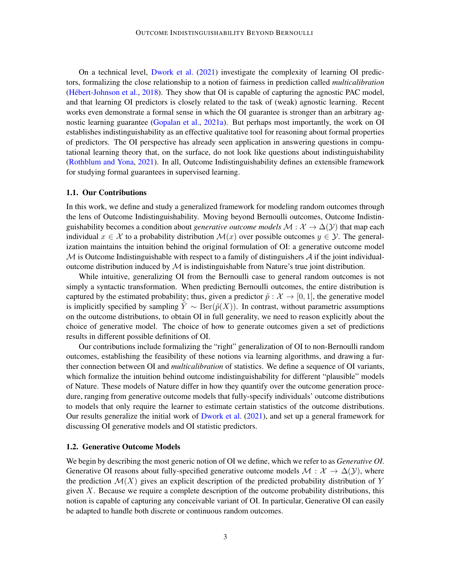On a technical level, [Dwork et al.](#page-37-0) [\(2021\)](#page-37-0) investigate the complexity of learning OI predictors, formalizing the close relationship to a notion of fairness in prediction called *multicalibration* (Hébert-Johnson et al., [2018\)](#page-38-5). They show that OI is capable of capturing the agnostic PAC model, and that learning OI predictors is closely related to the task of (weak) agnostic learning. Recent works even demonstrate a formal sense in which the OI guarantee is stronger than an arbitrary agnostic learning guarantee [\(Gopalan et al.,](#page-37-3) [2021a\)](#page-37-3). But perhaps most importantly, the work on OI establishes indistinguishability as an effective qualitative tool for reasoning about formal properties of predictors. The OI perspective has already seen application in answering questions in computational learning theory that, on the surface, do not look like questions about indistinguishability [\(Rothblum and Yona,](#page-38-6) [2021\)](#page-38-6). In all, Outcome Indistinguishability defines an extensible framework for studying formal guarantees in supervised learning.

# 1.1. Our Contributions

In this work, we define and study a generalized framework for modeling random outcomes through the lens of Outcome Indistinguishability. Moving beyond Bernoulli outcomes, Outcome Indistinguishability becomes a condition about *generative outcome models*  $M : \mathcal{X} \to \Delta(\mathcal{Y})$  that map each individual  $x \in \mathcal{X}$  to a probability distribution  $\mathcal{M}(x)$  over possible outcomes  $y \in \mathcal{Y}$ . The generalization maintains the intuition behind the original formulation of OI: a generative outcome model  $M$  is Outcome Indistinguishable with respect to a family of distinguishers  $A$  if the joint individualoutcome distribution induced by  $M$  is indistinguishable from Nature's true joint distribution.

While intuitive, generalizing OI from the Bernoulli case to general random outcomes is not simply a syntactic transformation. When predicting Bernoulli outcomes, the entire distribution is captured by the estimated probability; thus, given a predictor  $\tilde{p}$  :  $\mathcal{X} \to [0, 1]$ , the generative model is implicitly specified by sampling  $Y \sim \text{Ber}(\tilde{p}(X))$ . In contrast, without parametric assumptions on the outcome distributions, to obtain OI in full generality, we need to reason explicitly about the choice of generative model. The choice of how to generate outcomes given a set of predictions results in different possible definitions of OI.

Our contributions include formalizing the "right" generalization of OI to non-Bernoulli random outcomes, establishing the feasibility of these notions via learning algorithms, and drawing a further connection between OI and *multicalibration* of statistics. We define a sequence of OI variants, which formalize the intuition behind outcome indistinguishability for different "plausible" models of Nature. These models of Nature differ in how they quantify over the outcome generation procedure, ranging from generative outcome models that fully-specify individuals' outcome distributions to models that only require the learner to estimate certain statistics of the outcome distributions. Our results generalize the initial work of [Dwork et al.](#page-37-0) [\(2021\)](#page-37-0), and set up a general framework for discussing OI generative models and OI statistic predictors.

#### 1.2. Generative Outcome Models

We begin by describing the most generic notion of OI we define, which we refer to as *Generative OI*. Generative OI reasons about fully-specified generative outcome models  $\mathcal{M}: \mathcal{X} \to \Delta(\mathcal{Y})$ , where the prediction  $\mathcal{M}(X)$  gives an explicit description of the predicted probability distribution of Y given  $X$ . Because we require a complete description of the outcome probability distributions, this notion is capable of capturing any conceivable variant of OI. In particular, Generative OI can easily be adapted to handle both discrete or continuous random outcomes.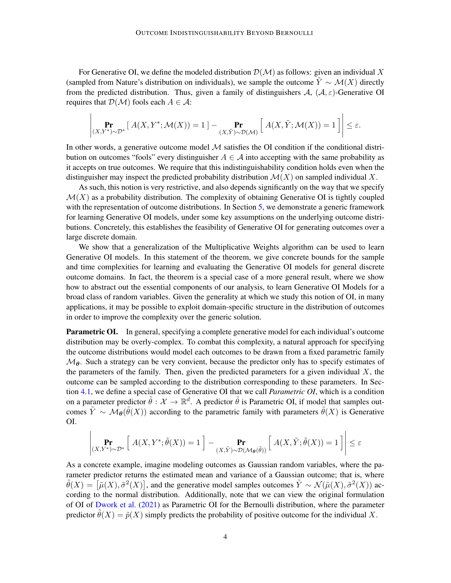For Generative OI, we define the modeled distribution  $\mathcal{D}(\mathcal{M})$  as follows: given an individual X (sampled from Nature's distribution on individuals), we sample the outcome  $\tilde{Y} \sim \mathcal{M}(X)$  directly from the predicted distribution. Thus, given a family of distinguishers  $A$ ,  $(A, \varepsilon)$ -Generative OI requires that  $\mathcal{D}(\mathcal{M})$  fools each  $A \in \mathcal{A}$ :

$$
\left|\Pr_{(X,Y^*)\sim\mathcal{D}^*}\left[\,A(X,Y^*;\mathcal{M}(X))=1\,\right]-\Pr_{(X,\tilde{Y})\sim\mathcal{D}(\mathcal{M})}\left[\,A(X,\tilde{Y};\mathcal{M}(X))=1\,\right]\,\right|\leq\varepsilon.
$$

In other words, a generative outcome model  $M$  satisfies the OI condition if the conditional distribution on outcomes "fools" every distinguisher  $A \in \mathcal{A}$  into accepting with the same probability as it accepts on true outcomes. We require that this indistinguishability condition holds even when the distinguisher may inspect the predicted probability distribution  $\mathcal{M}(X)$  on sampled individual X.

As such, this notion is very restrictive, and also depends significantly on the way that we specify  $\mathcal{M}(X)$  as a probability distribution. The complexity of obtaining Generative OI is tightly coupled with the representation of outcome distributions. In Section [5,](#page-22-0) we demonstrate a generic framework for learning Generative OI models, under some key assumptions on the underlying outcome distributions. Concretely, this establishes the feasibility of Generative OI for generating outcomes over a large discrete domain.

We show that a generalization of the Multiplicative Weights algorithm can be used to learn Generative OI models. In this statement of the theorem, we give concrete bounds for the sample and time complexities for learning and evaluating the Generative OI models for general discrete outcome domains. In fact, the theorem is a special case of a more general result, where we show how to abstract out the essential components of our analysis, to learn Generative OI Models for a broad class of random variables. Given the generality at which we study this notion of OI, in many applications, it may be possible to exploit domain-specific structure in the distribution of outcomes in order to improve the complexity over the generic solution.

**Parametric OI.** In general, specifying a complete generative model for each individual's outcome distribution may be overly-complex. To combat this complexity, a natural approach for specifying the outcome distributions would model each outcomes to be drawn from a fixed parametric family  $\mathcal{M}_{\theta}$ . Such a strategy can be very convient, because the predictor only has to specify estimates of the parameters of the family. Then, given the predicted parameters for a given individual  $X$ , the outcome can be sampled according to the distribution corresponding to these parameters. In Section [4.1,](#page-17-0) we define a special case of Generative OI that we call *Parametric OI*, which is a condition on a parameter predictor  $\tilde{\theta}: \mathcal{X} \to \mathbb{R}^d$ . A predictor  $\tilde{\theta}$  is Parametric OI, if model that samples outcomes  $\tilde{Y} \sim \mathcal{M}_{\theta}(\tilde{\theta}(X))$  according to the parametric family with parameters  $\tilde{\theta}(X)$  is Generative OI.

$$
\left|\Pr_{(X,Y^*)\sim\mathcal{D}^*}\left[\;A(X,Y^*;\tilde{\theta}(X))=1\;\right]-\Pr_{(X,\tilde{Y})\sim\mathcal{D}(\mathcal{M}_{\theta}(\tilde{\theta}))}\left[\;A(X,\tilde{Y};\tilde{\theta}(X))=1\;\right]\right|\leq\varepsilon
$$

As a concrete example, imagine modeling outcomes as Gaussian random variables, where the parameter predictor returns the estimated mean and variance of a Gaussian outcome; that is, where  $\tilde{\theta}(X) = [\tilde{\mu}(X), \tilde{\sigma}^2(X)]$ , and the generative model samples outcomes  $\tilde{Y} \sim \mathcal{N}(\tilde{\mu}(X), \tilde{\sigma}^2(X))$  according to the normal distribution. Additionally, note that we can view the original formulation of OI of [Dwork et al.](#page-37-0) [\(2021\)](#page-37-0) as Parametric OI for the Bernoulli distribution, where the parameter predictor  $\hat{\theta}(X) = \tilde{p}(X)$  simply predicts the probability of positive outcome for the individual X.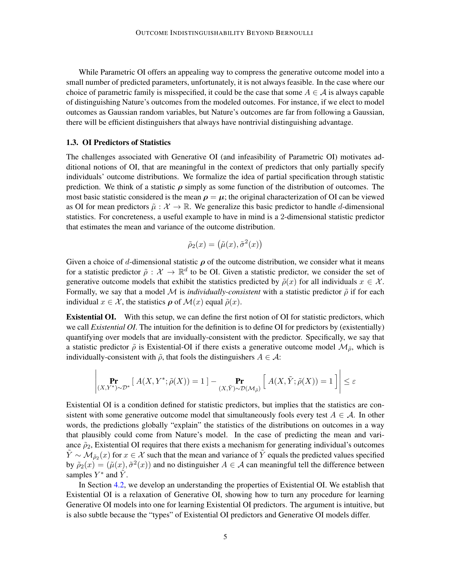While Parametric OI offers an appealing way to compress the generative outcome model into a small number of predicted parameters, unfortunately, it is not always feasible. In the case where our choice of parametric family is misspecified, it could be the case that some  $A \in \mathcal{A}$  is always capable of distinguishing Nature's outcomes from the modeled outcomes. For instance, if we elect to model outcomes as Gaussian random variables, but Nature's outcomes are far from following a Gaussian, there will be efficient distinguishers that always have nontrivial distinguishing advantage.

#### 1.3. OI Predictors of Statistics

The challenges associated with Generative OI (and infeasibility of Parametric OI) motivates additional notions of OI, that are meaningful in the context of predictors that only partially specify individuals' outcome distributions. We formalize the idea of partial specification through statistic prediction. We think of a statistic  $\rho$  simply as some function of the distribution of outcomes. The most basic statistic considered is the mean  $\rho = \mu$ ; the original characterization of OI can be viewed as OI for mean predictors  $\tilde{\mu} : \mathcal{X} \to \mathbb{R}$ . We generalize this basic predictor to handle d-dimensional statistics. For concreteness, a useful example to have in mind is a 2-dimensional statistic predictor that estimates the mean and variance of the outcome distribution.

$$
\tilde{\rho}_2(x) = (\tilde{\mu}(x), \tilde{\sigma}^2(x))
$$

Given a choice of d-dimensional statistic  $\rho$  of the outcome distribution, we consider what it means for a statistic predictor  $\tilde{\rho}: \mathcal{X} \to \mathbb{R}^d$  to be OI. Given a statistic predictor, we consider the set of generative outcome models that exhibit the statistics predicted by  $\tilde{\rho}(x)$  for all individuals  $x \in \mathcal{X}$ . Formally, we say that a model M is *individually-consistent* with a statistic predictor  $\tilde{\rho}$  if for each individual  $x \in \mathcal{X}$ , the statistics  $\rho$  of  $\mathcal{M}(x)$  equal  $\tilde{\rho}(x)$ .

Existential OI. With this setup, we can define the first notion of OI for statistic predictors, which we call *Existential OI*. The intuition for the definition is to define OI for predictors by (existentially) quantifying over models that are invidually-consistent with the predictor. Specifically, we say that a statistic predictor  $\tilde{\rho}$  is Existential-OI if there exists a generative outcome model  $\mathcal{M}_{\tilde{\rho}}$ , which is individually-consistent with  $\tilde{\rho}$ , that fools the distinguishers  $A \in \mathcal{A}$ :

$$
\left| \Pr_{(X,Y^*) \sim \mathcal{D}^*} \left[ \ A(X,Y^*; \tilde{\rho}(X)) = 1 \right] - \Pr_{(X,\tilde{Y}) \sim \mathcal{D}(\mathcal{M}_{\tilde{\rho}})} \left[ \ A(X,\tilde{Y}; \tilde{\rho}(X)) = 1 \right] \right| \le \varepsilon
$$

Existential OI is a condition defined for statistic predictors, but implies that the statistics are consistent with some generative outcome model that simultaneously fools every test  $A \in \mathcal{A}$ . In other words, the predictions globally "explain" the statistics of the distributions on outcomes in a way that plausibly could come from Nature's model. In the case of predicting the mean and variance  $\tilde{\rho}_2$ , Existential OI requires that there exists a mechanism for generating individual's outcomes  $\tilde{Y} \sim \mathcal{M}_{\tilde{\rho}_2}(x)$  for  $x \in \mathcal{X}$  such that the mean and variance of  $\tilde{Y}$  equals the predicted values specified by  $\tilde{\rho}_2(x) = (\tilde{\mu}(x), \tilde{\sigma}^2(x))$  and no distinguisher  $A \in \mathcal{A}$  can meaningful tell the difference between samples  $Y^*$  and  $\tilde{Y}$ .

In Section [4.2,](#page-18-0) we develop an understanding the properties of Existential OI. We establish that Existential OI is a relaxation of Generative OI, showing how to turn any procedure for learning Generative OI models into one for learning Existential OI predictors. The argument is intuitive, but is also subtle because the "types" of Existential OI predictors and Generative OI models differ.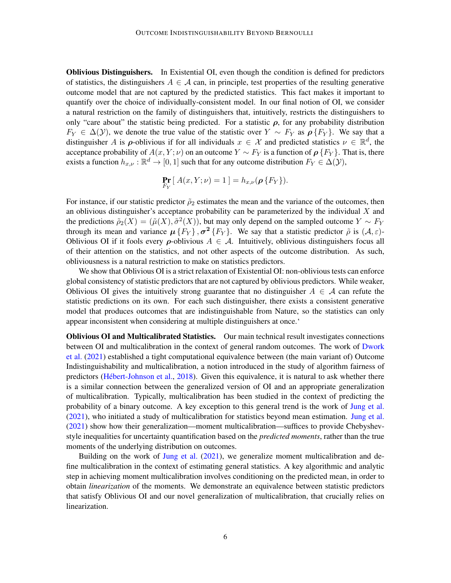Oblivious Distinguishers. In Existential OI, even though the condition is defined for predictors of statistics, the distinguishers  $A \in \mathcal{A}$  can, in principle, test properties of the resulting generative outcome model that are not captured by the predicted statistics. This fact makes it important to quantify over the choice of individually-consistent model. In our final notion of OI, we consider a natural restriction on the family of distinguishers that, intuitively, restricts the distinguishers to only "care about" the statistic being predicted. For a statistic  $\rho$ , for any probability distribution  $F_Y \in \Delta(\mathcal{Y})$ , we denote the true value of the statistic over  $Y \sim F_Y$  as  $\rho\{F_Y\}$ . We say that a distinguisher A is  $\rho$ -oblivious if for all individuals  $x \in \mathcal{X}$  and predicted statistics  $\nu \in \mathbb{R}^d$ , the acceptance probability of  $A(x, Y; \nu)$  on an outcome  $Y \sim F_Y$  is a function of  $\rho \{F_Y\}$ . That is, there exists a function  $h_{x,\nu} : \mathbb{R}^d \to [0,1]$  such that for any outcome distribution  $F_Y \in \Delta(\mathcal{Y})$ ,

$$
\Pr_{F_Y} [A(x,Y;\nu) = 1] = h_{x,\nu}(\rho \{F_Y\}).
$$

For instance, if our statistic predictor  $\tilde{\rho}_2$  estimates the mean and the variance of the outcomes, then an oblivious distinguisher's acceptance probability can be parameterized by the individual  $X$  and the predictions  $\tilde{\rho}_2(X) = (\tilde{\mu}(X), \tilde{\sigma}^2(X))$ , but may only depend on the sampled outcome  $Y \sim F_Y$ through its mean and variance  $\mu$  { $F_Y$ },  $\sigma^2$  { $F_Y$ }. We say that a statistic predictor  $\tilde{\rho}$  is ( $\mathcal{A}, \varepsilon$ )-Oblivious OI if it fools every  $\rho$ -oblivious  $A \in \mathcal{A}$ . Intuitively, oblivious distinguishers focus all of their attention on the statistics, and not other aspects of the outcome distribution. As such, obliviousness is a natural restriction to make on statistics predictors.

We show that Oblivious OI is a strict relaxation of Existential OI: non-oblivious tests can enforce global consistency of statistic predictors that are not captured by oblivious predictors. While weaker, Oblivious OI gives the intuitively strong guarantee that no distinguisher  $A \in \mathcal{A}$  can refute the statistic predictions on its own. For each such distinguisher, there exists a consistent generative model that produces outcomes that are indistinguishable from Nature, so the statistics can only appear inconsistent when considering at multiple distinguishers at once.'

Oblivious OI and Multicalibrated Statistics. Our main technical result investigates connections between OI and multicalibration in the context of general random outcomes. The work of [Dwork](#page-37-0) [et al.](#page-37-0) [\(2021\)](#page-37-0) established a tight computational equivalence between (the main variant of) Outcome Indistinguishability and multicalibration, a notion introduced in the study of algorithm fairness of predictors (Hébert-Johnson et al., [2018\)](#page-38-5). Given this equivalence, it is natural to ask whether there is a similar connection between the generalized version of OI and an appropriate generalization of multicalibration. Typically, multicalibration has been studied in the context of predicting the probability of a binary outcome. A key exception to this general trend is the work of [Jung et al.](#page-38-1) [\(2021\)](#page-38-1), who initiated a study of multicalibration for statistics beyond mean estimation. [Jung et al.](#page-38-1) [\(2021\)](#page-38-1) show how their generalization—moment multicalibration—suffices to provide Chebyshevstyle inequalities for uncertainty quantification based on the *predicted moments*, rather than the true moments of the underlying distribution on outcomes.

Building on the work of [Jung et al.](#page-38-1) [\(2021\)](#page-38-1), we generalize moment multicalibration and define multicalibration in the context of estimating general statistics. A key algorithmic and analytic step in achieving moment multicalibration involves conditioning on the predicted mean, in order to obtain *linearization* of the moments. We demonstrate an equivalence between statistic predictors that satisfy Oblivious OI and our novel generalization of multicalibration, that crucially relies on linearization.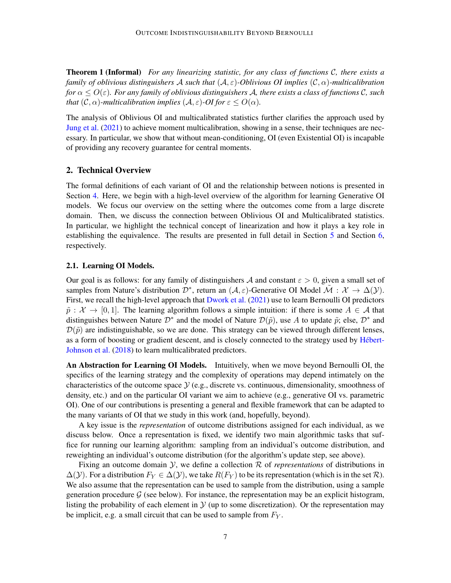Theorem 1 (Informal) *For any linearizing statistic, for any class of functions* C*, there exists a family of oblivious distinguishers* A *such that* (A, ε)*-Oblivious OI implies* (C, α)*-multicalibration for*  $\alpha \leq O(\varepsilon)$ *. For any family of oblivious distinguishers A, there exists a class of functions C, such that*  $(C, \alpha)$ *-multicalibration implies*  $(A, \varepsilon)$ *-OI for*  $\varepsilon$  <  $O(\alpha)$ *.* 

The analysis of Oblivious OI and multicalibrated statistics further clarifies the approach used by [Jung et al.](#page-38-1) [\(2021\)](#page-38-1) to achieve moment multicalibration, showing in a sense, their techniques are necessary. In particular, we show that without mean-conditioning, OI (even Existential OI) is incapable of providing any recovery guarantee for central moments.

## 2. Technical Overview

The formal definitions of each variant of OI and the relationship between notions is presented in Section [4.](#page-16-0) Here, we begin with a high-level overview of the algorithm for learning Generative OI models. We focus our overview on the setting where the outcomes come from a large discrete domain. Then, we discuss the connection between Oblivious OI and Multicalibrated statistics. In particular, we highlight the technical concept of linearization and how it plays a key role in establishing the equivalence. The results are presented in full detail in Section [5](#page-22-0) and Section [6,](#page-29-0) respectively.

#### 2.1. Learning OI Models.

Our goal is as follows: for any family of distinguishers A and constant  $\varepsilon > 0$ , given a small set of samples from Nature's distribution  $\mathcal{D}^*$ , return an  $(\mathcal{A}, \varepsilon)$ -Generative OI Model  $\tilde{\mathcal{M}} : \mathcal{X} \to \Delta(\mathcal{Y})$ . First, we recall the high-level approach that [Dwork et al.](#page-37-0) [\(2021\)](#page-37-0) use to learn Bernoulli OI predictors  $\tilde{p}$ :  $\mathcal{X} \to [0, 1]$ . The learning algorithm follows a simple intuition: if there is some  $A \in \mathcal{A}$  that distinguishes between Nature  $\mathcal{D}^*$  and the model of Nature  $\mathcal{D}(\tilde{p})$ , use A to update  $\tilde{p}$ ; else,  $\mathcal{D}^*$  and  $\mathcal{D}(\tilde{p})$  are indistinguishable, so we are done. This strategy can be viewed through different lenses, as a form of boosting or gradient descent, and is closely connected to the strategy used by Hébert-[Johnson et al.](#page-38-5) [\(2018\)](#page-38-5) to learn multicalibrated predictors.

An Abstraction for Learning OI Models. Intuitively, when we move beyond Bernoulli OI, the specifics of the learning strategy and the complexity of operations may depend intimately on the characteristics of the outcome space  $\mathcal{Y}$  (e.g., discrete vs. continuous, dimensionality, smoothness of density, etc.) and on the particular OI variant we aim to achieve (e.g., generative OI vs. parametric OI). One of our contributions is presenting a general and flexible framework that can be adapted to the many variants of OI that we study in this work (and, hopefully, beyond).

A key issue is the *representation* of outcome distributions assigned for each individual, as we discuss below. Once a representation is fixed, we identify two main algorithmic tasks that suffice for running our learning algorithm: sampling from an individual's outcome distribution, and reweighting an individual's outcome distribution (for the algorithm's update step, see above).

Fixing an outcome domain  $Y$ , we define a collection  $R$  of *representations* of distributions in  $\Delta(y)$ . For a distribution  $F_Y \in \Delta(y)$ , we take  $R(F_Y)$  to be its representation (which is in the set R). We also assume that the representation can be used to sample from the distribution, using a sample generation procedure  $G$  (see below). For instance, the representation may be an explicit histogram, listing the probability of each element in  $\mathcal Y$  (up to some discretization). Or the representation may be implicit, e.g. a small circuit that can be used to sample from  $F<sub>Y</sub>$ .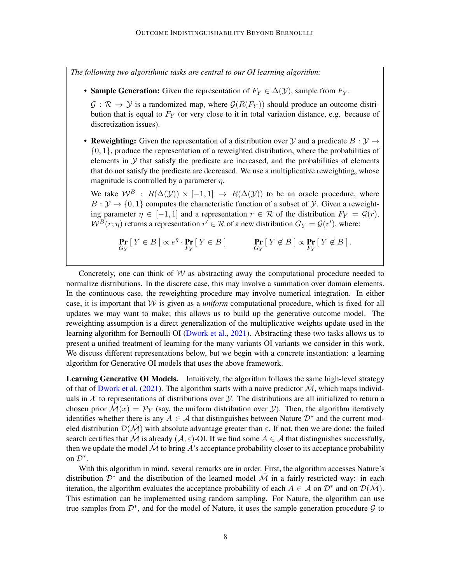*The following two algorithmic tasks are central to our OI learning algorithm:*

• Sample Generation: Given the representation of  $F_Y \in \Delta(Y)$ , sample from  $F_Y$ .

 $\mathcal{G}: \mathcal{R} \to \mathcal{Y}$  is a randomized map, where  $\mathcal{G}(R(F_Y))$  should produce an outcome distribution that is equal to  $F<sub>Y</sub>$  (or very close to it in total variation distance, e.g. because of discretization issues).

• Reweighting: Given the representation of a distribution over  $\mathcal Y$  and a predicate  $B: \mathcal Y \to$  $\{0, 1\}$ , produce the representation of a reweighted distribution, where the probabilities of elements in  $Y$  that satisfy the predicate are increased, and the probabilities of elements that do not satisfy the predicate are decreased. We use a multiplicative reweighting, whose magnitude is controlled by a parameter  $\eta$ .

We take  $W^B$ :  $R(\Delta(Y)) \times [-1,1] \rightarrow R(\Delta(Y))$  to be an oracle procedure, where  $B: \mathcal{Y} \to \{0, 1\}$  computes the characteristic function of a subset of  $\mathcal{Y}$ . Given a reweighting parameter  $\eta \in [-1, 1]$  and a representation  $r \in \mathcal{R}$  of the distribution  $F_Y = \mathcal{G}(r)$ ,  $W^B(r;\eta)$  returns a representation  $r' \in \mathcal{R}$  of a new distribution  $G_Y = \mathcal{G}(r')$ , where:

$$
\Pr_{G_Y} \left[ \, Y \in B \, \right] \propto e^{\eta} \cdot \Pr_{F_Y} \left[ \, Y \in B \, \right] \qquad \qquad \Pr_{G_Y} \left[ \, Y \notin B \, \right] \propto \Pr_{F_Y} \left[ \, Y \notin B \, \right].
$$

Concretely, one can think of  $W$  as abstracting away the computational procedure needed to normalize distributions. In the discrete case, this may involve a summation over domain elements. In the continuous case, the reweighting procedure may involve numerical integration. In either case, it is important that  $W$  is given as a *uniform* computational procedure, which is fixed for all updates we may want to make; this allows us to build up the generative outcome model. The reweighting assumption is a direct generalization of the multiplicative weights update used in the learning algorithm for Bernoulli OI [\(Dwork et al.,](#page-37-0) [2021\)](#page-37-0). Abstracting these two tasks allows us to present a unified treatment of learning for the many variants OI variants we consider in this work. We discuss different representations below, but we begin with a concrete instantiation: a learning algorithm for Generative OI models that uses the above framework.

Learning Generative OI Models. Intuitively, the algorithm follows the same high-level strategy of that of [Dwork et al.](#page-37-0) [\(2021\)](#page-37-0). The algorithm starts with a naive predictor  $\mathcal{M}$ , which maps individuals in  $X$  to representations of distributions over  $Y$ . The distributions are all initialized to return a chosen prior  $\mathcal{M}(x) = \mathcal{P}_Y$  (say, the uniform distribution over *y*). Then, the algorithm iteratively identifies whether there is any  $A \in \mathcal{A}$  that distinguishes between Nature  $\mathcal{D}^*$  and the current modeled distribution  $\mathcal{D}(\mathcal{M})$  with absolute advantage greater than  $\varepsilon$ . If not, then we are done: the failed search certifies that  $\tilde{\mathcal{M}}$  is already ( $\mathcal{A}, \varepsilon$ )-OI. If we find some  $A \in \mathcal{A}$  that distinguishes successfully, then we update the model  $\tilde{\mathcal{M}}$  to bring A's acceptance probability closer to its acceptance probability on  $\mathcal{D}^*$ .

With this algorithm in mind, several remarks are in order. First, the algorithm accesses Nature's distribution  $\mathcal{D}^*$  and the distribution of the learned model  $\tilde{\mathcal{M}}$  in a fairly restricted way: in each iteration, the algorithm evaluates the acceptance probability of each  $A \in \mathcal{A}$  on  $\mathcal{D}^*$  and on  $\mathcal{D}(\tilde{\mathcal{M}})$ . This estimation can be implemented using random sampling. For Nature, the algorithm can use true samples from  $\mathcal{D}^*$ , and for the model of Nature, it uses the sample generation procedure  $\mathcal G$  to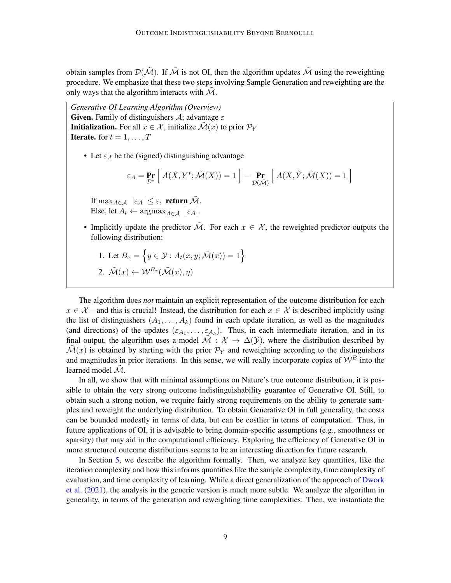obtain samples from  $\mathcal{D}(\tilde{\mathcal{M}})$ . If  $\tilde{\mathcal{M}}$  is not OI, then the algorithm updates  $\tilde{\mathcal{M}}$  using the reweighting procedure. We emphasize that these two steps involving Sample Generation and reweighting are the only ways that the algorithm interacts with  $M$ .

*Generative OI Learning Algorithm (Overview)* **Given.** Family of distinguishers  $\mathcal{A}$ ; advantage  $\varepsilon$ **Initialization.** For all  $x \in \mathcal{X}$ , initialize  $\mathcal{M}(x)$  to prior  $\mathcal{P}_Y$ **Iterate.** for  $t = 1, \ldots, T$ 

• Let  $\varepsilon_A$  be the (signed) distinguishing advantage

$$
\varepsilon_A = \Pr_{\mathcal{D}^*} \left[ \ A(X, Y^*; \tilde{\mathcal{M}}(X)) = 1 \ \right] - \Pr_{\mathcal{D}(\tilde{\mathcal{M}})} \left[ \ A(X, \tilde{Y}; \tilde{\mathcal{M}}(X)) = 1 \ \right]
$$

If  $\max_{A \in \mathcal{A}} |\varepsilon_A| \leq \varepsilon$ , return  $\tilde{\mathcal{M}}$ . Else, let  $A_t \leftarrow \arg \max_{A \in A} |\varepsilon_A|$ .

- Implicitly update the predictor  $\tilde{\mathcal{M}}$ . For each  $x \in \mathcal{X}$ , the reweighted predictor outputs the following distribution:
	- 1. Let  $B_x = \{y \in \mathcal{Y} : A_t(x, y; \tilde{\mathcal{M}}(x)) = 1\}$ 2.  $\tilde{\mathcal{M}}(x) \leftarrow \mathcal{W}^{B_x}(\tilde{\mathcal{M}}(x), \eta)$

The algorithm does *not* maintain an explicit representation of the outcome distribution for each  $x \in \mathcal{X}$ —and this is crucial! Instead, the distribution for each  $x \in \mathcal{X}$  is described implicitly using the list of distinguishers  $(A_1, \ldots, A_k)$  found in each update iteration, as well as the magnitudes (and directions) of the updates  $(\varepsilon_{A_1}, \ldots, \varepsilon_{A_k})$ . Thus, in each intermediate iteration, and in its final output, the algorithm uses a model  $\tilde{\mathcal{M}}$  :  $\mathcal{X} \to \Delta(\mathcal{Y})$ , where the distribution described by  $\mathcal{M}(x)$  is obtained by starting with the prior  $\mathcal{P}_Y$  and reweighting according to the distinguishers and magnitudes in prior iterations. In this sense, we will really incorporate copies of  $\mathcal{W}^B$  into the learned model  $M$ .

In all, we show that with minimal assumptions on Nature's true outcome distribution, it is possible to obtain the very strong outcome indistinguishability guarantee of Generative OI. Still, to obtain such a strong notion, we require fairly strong requirements on the ability to generate samples and reweight the underlying distribution. To obtain Generative OI in full generality, the costs can be bounded modestly in terms of data, but can be costlier in terms of computation. Thus, in future applications of OI, it is advisable to bring domain-specific assumptions (e.g., smoothness or sparsity) that may aid in the computational efficiency. Exploring the efficiency of Generative OI in more structured outcome distributions seems to be an interesting direction for future research.

In Section [5,](#page-22-0) we describe the algorithm formally. Then, we analyze key quantities, like the iteration complexity and how this informs quantities like the sample complexity, time complexity of evaluation, and time complexity of learning. While a direct generalization of the approach of [Dwork](#page-37-0) [et al.](#page-37-0) [\(2021\)](#page-37-0), the analysis in the generic version is much more subtle. We analyze the algorithm in generality, in terms of the generation and reweighting time complexities. Then, we instantiate the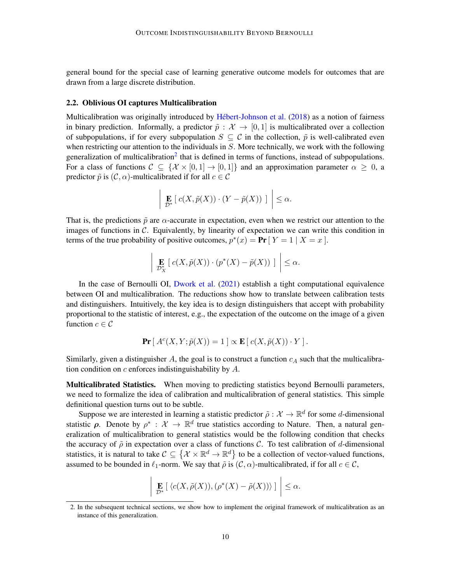general bound for the special case of learning generative outcome models for outcomes that are drawn from a large discrete distribution.

#### 2.2. Oblivious OI captures Multicalibration

Multicalibration was originally introduced by Hébert-Johnson et al. [\(2018\)](#page-38-5) as a notion of fairness in binary prediction. Informally, a predictor  $\tilde{p}$  :  $\mathcal{X} \to [0, 1]$  is multicalibrated over a collection of subpopulations, if for every subpopulation  $S \subseteq \mathcal{C}$  in the collection,  $\tilde{p}$  is well-calibrated even when restricting our attention to the individuals in  $S$ . More technically, we work with the following generalization of multicalibration<sup>[2](#page-9-0)</sup> that is defined in terms of functions, instead of subpopulations. For a class of functions  $C \subseteq \{X \times [0, 1] \to [0, 1]\}$  and an approximation parameter  $\alpha \geq 0$ , a predictor  $\tilde{p}$  is  $(C, \alpha)$ -multicalibrated if for all  $c \in C$ 

$$
\left| \left| \mathop{\mathbf{E}}_{\mathcal{D}^*} \left[ c(X, \tilde{p}(X)) \cdot (Y - \tilde{p}(X)) \right] \right| \right| \leq \alpha.
$$

That is, the predictions  $\tilde{p}$  are  $\alpha$ -accurate in expectation, even when we restrict our attention to the images of functions in  $C$ . Equivalently, by linearity of expectation we can write this condition in terms of the true probability of positive outcomes,  $p^*(x) = \textbf{Pr} \left[ Y = 1 \mid X = x \right]$ .

$$
\left| \left| \underset{\mathcal{D}^*_{X}}{\mathbf{E}} \left[ c(X, \tilde{p}(X)) \cdot (p^*(X) - \tilde{p}(X)) \right] \right| \leq \alpha.
$$

In the case of Bernoulli OI, [Dwork et al.](#page-37-0) [\(2021\)](#page-37-0) establish a tight computational equivalence between OI and multicalibration. The reductions show how to translate between calibration tests and distinguishers. Intuitively, the key idea is to design distinguishers that accept with probability proportional to the statistic of interest, e.g., the expectation of the outcome on the image of a given function  $c \in \mathcal{C}$ 

$$
\Pr[A^{c}(X, Y; \tilde{p}(X)) = 1] \propto \mathbf{E}[c(X, \tilde{p}(X)) \cdot Y].
$$

Similarly, given a distinguisher A, the goal is to construct a function  $c<sub>A</sub>$  such that the multicalibration condition on  $c$  enforces indistinguishability by  $A$ .

Multicalibrated Statistics. When moving to predicting statistics beyond Bernoulli parameters, we need to formalize the idea of calibration and multicalibration of general statistics. This simple definitional question turns out to be subtle.

Suppose we are interested in learning a statistic predictor  $\tilde{\rho}: \mathcal{X} \to \mathbb{R}^d$  for some d-dimensional statistic  $\rho$ . Denote by  $\rho^* : \mathcal{X} \to \mathbb{R}^d$  true statistics according to Nature. Then, a natural generalization of multicalibration to general statistics would be the following condition that checks the accuracy of  $\tilde{\rho}$  in expectation over a class of functions C. To test calibration of d-dimensional statistics, it is natural to take  $C \subseteq \{ \mathcal{X} \times \mathbb{R}^d \to \mathbb{R}^d \}$  to be a collection of vector-valued functions, assumed to be bounded in  $\ell_1$ -norm. We say that  $\tilde{\rho}$  is  $(C, \alpha)$ -multicalibrated, if for all  $c \in \mathcal{C}$ ,

$$
\left| \left| \mathop{\mathbf{E}}_{\mathcal{D}^*} \left[ \langle c(X, \tilde{\rho}(X)), (\rho^*(X) - \tilde{\rho}(X)) \rangle \right] \right| \leq \alpha.
$$

<span id="page-9-0"></span><sup>2.</sup> In the subsequent technical sections, we show how to implement the original framework of multicalibration as an instance of this generalization.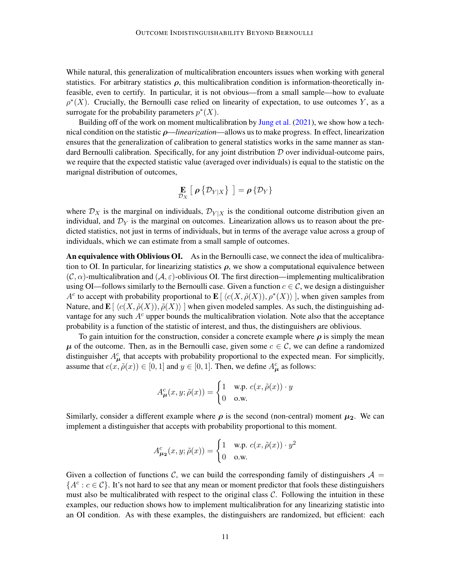While natural, this generalization of multicalibration encounters issues when working with general statistics. For arbitrary statistics  $\rho$ , this multicalibration condition is information-theoretically infeasible, even to certify. In particular, it is not obvious—from a small sample—how to evaluate  $\rho^*(X)$ . Crucially, the Bernoulli case relied on linearity of expectation, to use outcomes Y, as a surrogate for the probability parameters  $p^*(X)$ .

Building off of the work on moment multicalibration by [Jung et al.](#page-38-1) [\(2021\)](#page-38-1), we show how a technical condition on the statistic ρ—*linearization*—allows us to make progress. In effect, linearization ensures that the generalization of calibration to general statistics works in the same manner as standard Bernoulli calibration. Specifically, for any joint distribution  $D$  over individual-outcome pairs, we require that the expected statistic value (averaged over individuals) is equal to the statistic on the marignal distribution of outcomes,

$$
\mathop{\mathbf{E}}\limits_{\mathcal{D}_{X}}\left[\right. \rho \left\{\mathcal{D}_{Y|X}\right\} \left.\right]=\rho \left\{\mathcal{D}_{Y}\right\}
$$

where  $\mathcal{D}_X$  is the marginal on individuals,  $\mathcal{D}_{Y|X}$  is the conditional outcome distribution given an individual, and  $\mathcal{D}_Y$  is the marginal on outcomes. Linearization allows us to reason about the predicted statistics, not just in terms of individuals, but in terms of the average value across a group of individuals, which we can estimate from a small sample of outcomes.

An equivalence with Oblivious OI. As in the Bernoulli case, we connect the idea of multicalibration to OI. In particular, for linearizing statistics  $\rho$ , we show a computational equivalence between  $(C, \alpha)$ -multicalibration and  $(A, \varepsilon)$ -oblivious OI. The first direction—implementing multicalibration using OI—follows similarly to the Bernoulli case. Given a function  $c \in \mathcal{C}$ , we design a distinguisher A<sup>c</sup> to accept with probability proportional to  $\mathbf{E}[\langle c(X, \tilde{\rho}(X)), \rho^*(X) \rangle]$ , when given samples from Nature, and  $\mathbf{E}[\langle c(X, \tilde{\rho}(X)), \tilde{\rho}(X)\rangle ]$  when given modeled samples. As such, the distinguishing advantage for any such  $A<sup>c</sup>$  upper bounds the multicalibration violation. Note also that the acceptance probability is a function of the statistic of interest, and thus, the distinguishers are oblivious.

To gain intuition for the construction, consider a concrete example where  $\rho$  is simply the mean  $\mu$  of the outcome. Then, as in the Bernoulli case, given some  $c \in \mathcal{C}$ , we can define a randomized distinguisher  $A_{\mu}^{c}$  that accepts with probability proportional to the expected mean. For simplicitly, assume that  $c(x, \tilde{\rho}(x)) \in [0, 1]$  and  $y \in [0, 1]$ . Then, we define  $A^c_{\mu}$  as follows:

$$
A_{\mu}^{c}(x, y; \tilde{\rho}(x)) = \begin{cases} 1 & \text{w.p. } c(x, \tilde{\rho}(x)) \cdot y \\ 0 & \text{o.w.} \end{cases}
$$

Similarly, consider a different example where  $\rho$  is the second (non-central) moment  $\mu_2$ . We can implement a distinguisher that accepts with probability proportional to this moment.

$$
A_{\mu_2}^c(x, y; \tilde{\rho}(x)) = \begin{cases} 1 & \text{w.p. } c(x, \tilde{\rho}(x)) \cdot y^2 \\ 0 & \text{o.w.} \end{cases}
$$

Given a collection of functions C, we can build the corresponding family of distinguishers  $A =$  ${A^c : c \in C}$ . It's not hard to see that any mean or moment predictor that fools these distinguishers must also be multicalibrated with respect to the original class  $C$ . Following the intuition in these examples, our reduction shows how to implement multicalibration for any linearizing statistic into an OI condition. As with these examples, the distinguishers are randomized, but efficient: each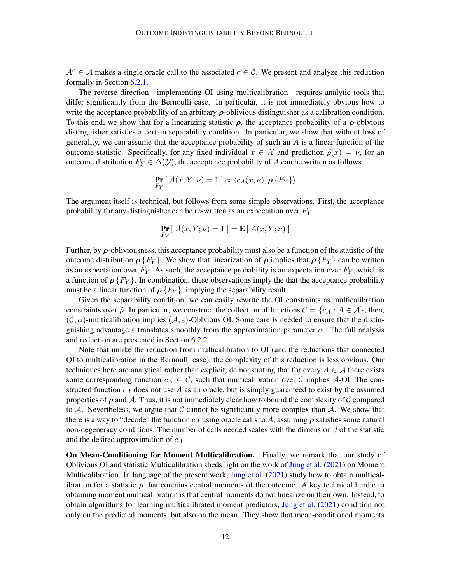$A^c \in \mathcal{A}$  makes a single oracle call to the associated  $c \in \mathcal{C}$ . We present and analyze this reduction formally in Section [6.2.1.](#page-32-0)

The reverse direction—implementing OI using multicalibration—requires analytic tools that differ significantly from the Bernoulli case. In particular, it is not immediately obvious how to write the acceptance probability of an arbitrary  $\rho$ -oblivious distinguisher as a calibration condition. To this end, we show that for a linearizing statistic  $\rho$ , the acceptance probability of a  $\rho$ -oblvious distinguisher satisfies a certain separability condition. In particular, we show that without loss of generality, we can assume that the acceptance probability of such an  $A$  is a linear function of the outcome statistic. Specifically, for any fixed individual  $x \in \mathcal{X}$  and prediction  $\tilde{\rho}(x) = \nu$ , for an outcome distribution  $F_Y \in \Delta(\mathcal{Y})$ , the acceptance probability of A can be written as follows.

$$
\Pr_{F_Y} \left[ \, A(x,Y;\nu) = 1 \, \right] \propto \langle c_A(x,\nu), \rho \, \{F_Y\} \rangle
$$

The argument itself is technical, but follows from some simple observations. First, the acceptance probability for any distinguisher can be re-written as an expectation over  $F_Y$ .

$$
\Pr_{F_Y} [A(x, Y; \nu) = 1] = \mathbf{E} [A(x, Y; \nu)]
$$

Further, by  $\rho$ -obliviousness, this acceptance probability must also be a function of the statistic of the outcome distribution  $\rho \{F_Y\}$ . We show that linearization of  $\rho$  implies that  $\rho \{F_Y\}$  can be written as an expectation over  $F_Y$ . As such, the acceptance probability is an expectation over  $F_Y$ , which is a function of  $\rho$  { $F_Y$ }. In combination, these observations imply the that the acceptance probability must be a linear function of  $\rho \{F_Y\}$ , implying the separability result.

Given the separability condition, we can easily rewrite the OI constraints as multicalibration constraints over  $\tilde{\rho}$ . In particular, we construct the collection of functions  $\mathcal{C} = \{c_A : A \in \mathcal{A}\}\;$ ; then,  $(C, \alpha)$ -multicalibration implies  $(A, \varepsilon)$ -Oblvious OI. Some care is needed to ensure that the distinguishing advantage  $\varepsilon$  translates smoothly from the approximation parameter  $\alpha$ . The full analysis and reduction are presented in Section [6.2.2.](#page-33-0)

Note that unlike the reduction from multicalibration to OI (and the reductions that connected OI to multicalibration in the Bernoulli case), the complexity of this reduction is less obvious. Our techniques here are analytical rather than explicit, demonstrating that for every  $A \in \mathcal{A}$  there exists some corresponding function  $c_A \in \mathcal{C}$ , such that multicalibration over  $\mathcal C$  implies A-OI. The constructed function  $c_A$  does not use A as an oracle, but is simply guaranteed to exist by the assumed properties of  $\rho$  and A. Thus, it is not immediately clear how to bound the complexity of C compared to A. Nevertheless, we argue that  $\mathcal C$  cannot be significantly more complex than  $\mathcal A$ . We show that there is a way to "decode" the function  $c_A$  using oracle calls to A, assuming  $\rho$  satisfies some natural non-degeneracy conditions. The number of calls needed scales with the dimension  $d$  of the statistic and the desired approximation of  $c_A$ .

On Mean-Conditioning for Moment Multicalibration. Finally, we remark that our study of Oblivious OI and statistic Multicalibration sheds light on the work of [Jung et al.](#page-38-1) [\(2021\)](#page-38-1) on Moment Multicalibration. In language of the present work, [Jung et al.](#page-38-1) [\(2021\)](#page-38-1) study how to obtain multicalibration for a statistic  $\rho$  that contains central moments of the outcome. A key technical hurdle to obtaining moment multicalibration is that central moments do not linearize on their own. Instead, to obtain algorithms for learning multicalibrated moment predictors, [Jung et al.](#page-38-1) [\(2021\)](#page-38-1) condition not only on the predicted moments, but also on the mean. They show that mean-conditioned moments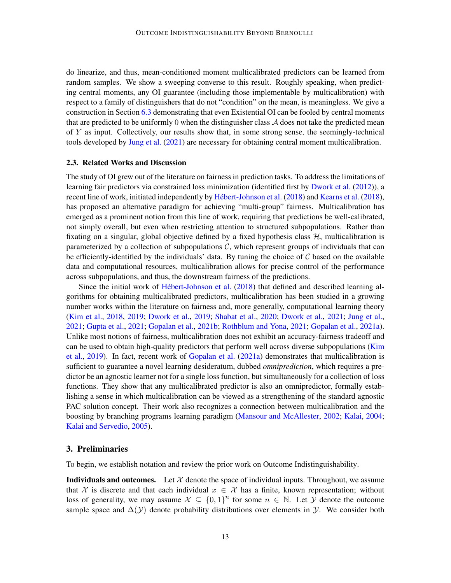do linearize, and thus, mean-conditioned moment multicalibrated predictors can be learned from random samples. We show a sweeping converse to this result. Roughly speaking, when predicting central moments, any OI guarantee (including those implementable by multicalibration) with respect to a family of distinguishers that do not "condition" on the mean, is meaningless. We give a construction in Section [6.3](#page-35-0) demonstrating that even Existential OI can be fooled by central moments that are predicted to be uniformly 0 when the distinguisher class  $\mathcal A$  does not take the predicted mean of  $Y$  as input. Collectively, our results show that, in some strong sense, the seemingly-technical tools developed by [Jung et al.](#page-38-1) [\(2021\)](#page-38-1) are necessary for obtaining central moment multicalibration.

# 2.3. Related Works and Discussion

The study of OI grew out of the literature on fairness in prediction tasks. To address the limitations of learning fair predictors via constrained loss minimization (identified first by [Dwork et al.](#page-37-4) [\(2012\)](#page-37-4)), a recent line of work, initiated independently by Hébert-Johnson et al. [\(2018\)](#page-38-7) and [Kearns et al.](#page-38-7) (2018), has proposed an alternative paradigm for achieving "multi-group" fairness. Multicalibration has emerged as a prominent notion from this line of work, requiring that predictions be well-calibrated, not simply overall, but even when restricting attention to structured subpopulations. Rather than fixating on a singular, global objective defined by a fixed hypothesis class  $H$ , multicalibration is parameterized by a collection of subpopulations  $C$ , which represent groups of individuals that can be efficiently-identified by the individuals' data. By tuning the choice of  $C$  based on the available data and computational resources, multicalibration allows for precise control of the performance across subpopulations, and thus, the downstream fairness of the predictions.

Since the initial work of Hébert-Johnson et al.  $(2018)$  that defined and described learning algorithms for obtaining multicalibrated predictors, multicalibration has been studied in a growing number works within the literature on fairness and, more generally, computational learning theory [\(Kim et al.,](#page-38-8) [2018,](#page-38-8) [2019;](#page-38-9) [Dwork et al.,](#page-37-5) [2019;](#page-37-5) [Shabat et al.,](#page-38-10) [2020;](#page-38-10) [Dwork et al.,](#page-37-0) [2021;](#page-37-0) [Jung et al.,](#page-38-1) [2021;](#page-38-1) [Gupta et al.,](#page-37-6) [2021;](#page-37-6) [Gopalan et al.,](#page-37-7) [2021b;](#page-37-7) [Rothblum and Yona,](#page-38-6) [2021;](#page-38-6) [Gopalan et al.,](#page-37-3) [2021a\)](#page-37-3). Unlike most notions of fairness, multicalibration does not exhibit an accuracy-fairness tradeoff and can be used to obtain high-quality predictors that perform well across diverse subpopulations [\(Kim](#page-38-9) [et al.,](#page-38-9) [2019\)](#page-38-9). In fact, recent work of [Gopalan et al.](#page-37-3) [\(2021a\)](#page-37-3) demonstrates that multicalibration is sufficient to guarantee a novel learning desideratum, dubbed *omniprediction*, which requires a predictor be an agnostic learner not for a single loss function, but simultaneously for a collection of loss functions. They show that any multicalibrated predictor is also an omnipredictor, formally establishing a sense in which multicalibration can be viewed as a strengthening of the standard agnostic PAC solution concept. Their work also recognizes a connection between multicalibration and the boosting by branching programs learning paradigm [\(Mansour and McAllester,](#page-38-11) [2002;](#page-38-11) [Kalai,](#page-38-12) [2004;](#page-38-12) [Kalai and Servedio,](#page-38-13) [2005\)](#page-38-13).

# 3. Preliminaries

To begin, we establish notation and review the prior work on Outcome Indistinguishability.

**Individuals and outcomes.** Let  $\mathcal{X}$  denote the space of individual inputs. Throughout, we assume that X is discrete and that each individual  $x \in \mathcal{X}$  has a finite, known representation; without loss of generality, we may assume  $\mathcal{X} \subseteq \{0,1\}^n$  for some  $n \in \mathbb{N}$ . Let  $\mathcal Y$  denote the outcome sample space and  $\Delta(y)$  denote probability distributions over elements in y. We consider both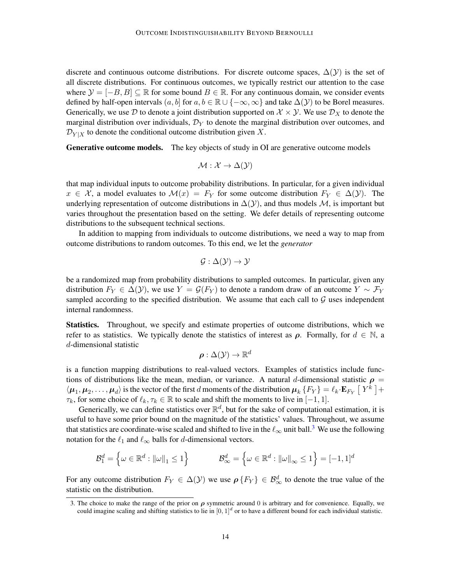discrete and continuous outcome distributions. For discrete outcome spaces,  $\Delta(\mathcal{Y})$  is the set of all discrete distributions. For continuous outcomes, we typically restrict our attention to the case where  $\mathcal{Y} = [-B, B] \subseteq \mathbb{R}$  for some bound  $B \in \mathbb{R}$ . For any continuous domain, we consider events defined by half-open intervals  $(a, b]$  for  $a, b \in \mathbb{R} \cup \{-\infty, \infty\}$  and take  $\Delta(\mathcal{Y})$  to be Borel measures. Generically, we use D to denote a joint distribution supported on  $\mathcal{X} \times \mathcal{Y}$ . We use  $\mathcal{D}_X$  to denote the marginal distribution over individuals,  $\mathcal{D}_Y$  to denote the marginal distribution over outcomes, and  $\mathcal{D}_{Y|X}$  to denote the conditional outcome distribution given X.

Generative outcome models. The key objects of study in OI are generative outcome models

$$
\mathcal{M} : \mathcal{X} \to \Delta(\mathcal{Y})
$$

that map individual inputs to outcome probability distributions. In particular, for a given individual  $x \in \mathcal{X}$ , a model evaluates to  $\mathcal{M}(x) = F_Y$  for some outcome distribution  $F_Y \in \Delta(\mathcal{Y})$ . The underlying representation of outcome distributions in  $\Delta(Y)$ , and thus models M, is important but varies throughout the presentation based on the setting. We defer details of representing outcome distributions to the subsequent technical sections.

In addition to mapping from individuals to outcome distributions, we need a way to map from outcome distributions to random outcomes. To this end, we let the *generator*

$$
\mathcal{G} : \Delta(\mathcal{Y}) \to \mathcal{Y}
$$

be a randomized map from probability distributions to sampled outcomes. In particular, given any distribution  $F_Y \in \Delta(Y)$ , we use  $Y = \mathcal{G}(F_Y)$  to denote a random draw of an outcome  $Y \sim \mathcal{F}_Y$ sampled according to the specified distribution. We assume that each call to  $G$  uses independent internal randomness.

Statistics. Throughout, we specify and estimate properties of outcome distributions, which we refer to as statistics. We typically denote the statistics of interest as  $\rho$ . Formally, for  $d \in \mathbb{N}$ , a d-dimensional statistic

$$
\boldsymbol{\rho}: \Delta(\mathcal{Y}) \rightarrow \mathbb{R}^d
$$

is a function mapping distributions to real-valued vectors. Examples of statistics include functions of distributions like the mean, median, or variance. A natural d-dimensional statistic  $\rho =$  $\langle \bm{\mu}_1,\bm{\mu}_2,\ldots,\bm{\mu}_d\rangle$  is the vector of the first  $d$  moments of the distribution  $\bm{\mu}_k$   $\{F_Y\}=\ell_k\cdot\mathbf{E}_{F_Y}\left[\ Y^k\ \right]+1$  $\tau_k$ , for some choice of  $\ell_k, \tau_k \in \mathbb{R}$  to scale and shift the moments to live in [−1, 1].

Generically, we can define statistics over  $\mathbb{R}^d$ , but for the sake of computational estimation, it is useful to have some prior bound on the magnitude of the statistics' values. Throughout, we assume that statistics are coordinate-wise scaled and shifted to live in the  $\ell_{\infty}$  unit ball.<sup>[3](#page-13-0)</sup> We use the following notation for the  $\ell_1$  and  $\ell_{\infty}$  balls for d-dimensional vectors.

$$
\mathcal{B}_1^d = \left\{ \omega \in \mathbb{R}^d : ||\omega||_1 \le 1 \right\} \qquad \qquad \mathcal{B}_{\infty}^d = \left\{ \omega \in \mathbb{R}^d : ||\omega||_{\infty} \le 1 \right\} = [-1, 1]^d
$$

For any outcome distribution  $F_Y \in \Delta(\mathcal{Y})$  we use  $\rho\{F_Y\} \in \mathcal{B}^d_\infty$  to denote the true value of the statistic on the distribution.

<span id="page-13-0"></span><sup>3.</sup> The choice to make the range of the prior on  $\rho$  symmetric around 0 is arbitrary and for convenience. Equally, we could imagine scaling and shifting statistics to lie in  $[0,1]^d$  or to have a different bound for each individual statistic.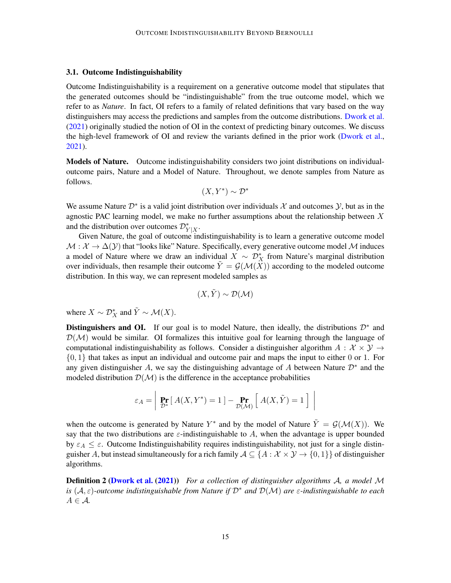## 3.1. Outcome Indistinguishability

Outcome Indistinguishability is a requirement on a generative outcome model that stipulates that the generated outcomes should be "indistinguishable" from the true outcome model, which we refer to as *Nature*. In fact, OI refers to a family of related definitions that vary based on the way distinguishers may access the predictions and samples from the outcome distributions. [Dwork et al.](#page-37-0) [\(2021\)](#page-37-0) originally studied the notion of OI in the context of predicting binary outcomes. We discuss the high-level framework of OI and review the variants defined in the prior work [\(Dwork et al.,](#page-37-0) [2021\)](#page-37-0).

Models of Nature. Outcome indistinguishability considers two joint distributions on individualoutcome pairs, Nature and a Model of Nature. Throughout, we denote samples from Nature as follows.

$$
(X, Y^*) \sim \mathcal{D}^*
$$

We assume Nature  $\mathcal{D}^*$  is a valid joint distribution over individuals X and outcomes  $\mathcal{Y}$ , but as in the agnostic PAC learning model, we make no further assumptions about the relationship between X and the distribution over outcomes  $\mathcal{D}_{Y|X}^*$ .

Given Nature, the goal of outcome indistinguishability is to learn a generative outcome model  $M : \mathcal{X} \to \Delta(\mathcal{Y})$  that "looks like" Nature. Specifically, every generative outcome model M induces a model of Nature where we draw an individual  $X \sim \mathcal{D}_X^*$  from Nature's marginal distribution over individuals, then resample their outcome  $\dot{Y} = \mathcal{G}(\mathcal{M}(X))$  according to the modeled outcome distribution. In this way, we can represent modeled samples as

$$
(X,Y)\sim\mathcal{D}(\mathcal{M})
$$

where  $X \sim \mathcal{D}_X^*$  and  $\tilde{Y} \sim \mathcal{M}(X)$ .

Distinguishers and OI. If our goal is to model Nature, then ideally, the distributions  $\mathcal{D}^*$  and  $\mathcal{D}(\mathcal{M})$  would be similar. OI formalizes this intuitive goal for learning through the language of computational indistinguishability as follows. Consider a distinguisher algorithm  $A: \mathcal{X} \times \mathcal{Y} \rightarrow$  $\{0, 1\}$  that takes as input an individual and outcome pair and maps the input to either 0 or 1. For any given distinguisher A, we say the distinguishing advantage of A between Nature  $\mathcal{D}^*$  and the modeled distribution  $\mathcal{D}(\mathcal{M})$  is the difference in the acceptance probabilities

$$
\varepsilon_A = \left| \Pr_{\mathcal{D}^*} \left[ \, A(X, Y^*) = 1 \, \right] - \Pr_{\mathcal{D}(\mathcal{M})} \left[ \, A(X, \tilde{Y}) = 1 \, \right] \, \right|
$$

when the outcome is generated by Nature  $Y^*$  and by the model of Nature  $\tilde{Y} = \mathcal{G}(\mathcal{M}(X))$ . We say that the two distributions are  $\varepsilon$ -indistinguishable to A, when the advantage is upper bounded by  $\varepsilon_A \leq \varepsilon$ . Outcome Indistinguishability requires indistinguishability, not just for a single distinguisher A, but instead simultaneously for a rich family  $A \subseteq \{A : \mathcal{X} \times \mathcal{Y} \to \{0,1\}\}\$  of distinguisher algorithms.

<span id="page-14-0"></span>Definition 2 [\(Dwork et al.](#page-37-0) [\(2021\)](#page-37-0)) *For a collection of distinguisher algorithms* A*, a model* M *is* (A, ε)*-outcome indistinguishable from Nature if* D<sup>∗</sup> *and* D(M) *are* ε*-indistinguishable to each*  $A \in \mathcal{A}$ .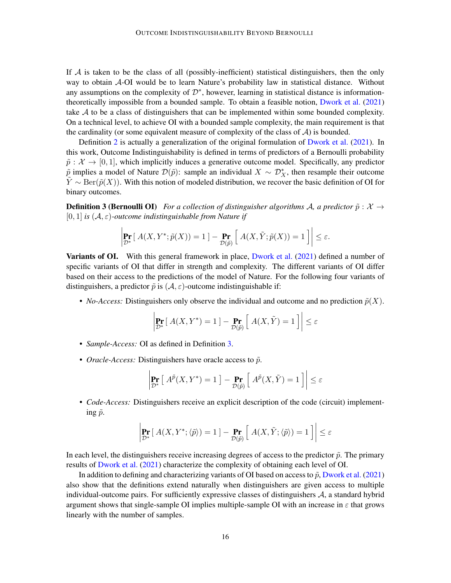If  $A$  is taken to be the class of all (possibly-inefficient) statistical distinguishers, then the only way to obtain A-OI would be to learn Nature's probability law in statistical distance. Without any assumptions on the complexity of  $\mathcal{D}^*$ , however, learning in statistical distance is informationtheoretically impossible from a bounded sample. To obtain a feasible notion, [Dwork et al.](#page-37-0) [\(2021\)](#page-37-0) take  $A$  to be a class of distinguishers that can be implemented within some bounded complexity. On a technical level, to achieve OI with a bounded sample complexity, the main requirement is that the cardinality (or some equivalent measure of complexity of the class of  $A$ ) is bounded.

Definition [2](#page-14-0) is actually a generalization of the original formulation of [Dwork et al.](#page-37-0) [\(2021\)](#page-37-0). In this work, Outcome Indistinguishability is defined in terms of predictors of a Bernoulli probability  $\tilde{p}: \mathcal{X} \to [0, 1]$ , which implicitly induces a generative outcome model. Specifically, any predictor  $\tilde{p}$  implies a model of Nature  $\mathcal{D}(\tilde{p})$ : sample an individual  $X \sim \mathcal{D}_X^*$ , then resample their outcome  $\tilde{Y} \sim \text{Ber}(\tilde{p}(X))$ . With this notion of modeled distribution, we recover the basic definition of OI for binary outcomes.

**Definition 3 (Bernoulli OI)** *For a collection of distinguisher algorithms A, a predictor*  $\tilde{p}: \mathcal{X} \rightarrow$  $[0, 1]$  *is*  $(A, \varepsilon)$ -outcome indistinguishable from Nature if

<span id="page-15-0"></span>
$$
\left| \Pr_{\mathcal{D}^*} \left[ \, A(X, Y^*; \tilde{p}(X)) = 1 \, \right] - \Pr_{\mathcal{D}(\tilde{p})} \left[ \, A(X, \tilde{Y}; \tilde{p}(X)) = 1 \, \right] \right| \le \varepsilon.
$$

Variants of OI. With this general framework in place, [Dwork et al.](#page-37-0) [\(2021\)](#page-37-0) defined a number of specific variants of OI that differ in strength and complexity. The different variants of OI differ based on their access to the predictions of the model of Nature. For the following four variants of distinguishers, a predictor  $\tilde{p}$  is  $(\mathcal{A}, \varepsilon)$ -outcome indistinguishable if:

• *No-Access:* Distinguishers only observe the individual and outcome and no prediction  $\tilde{p}(X)$ .

$$
\left| \Pr_{\mathcal{D}^*} \left[ \, A(X, Y^*) = 1 \, \right] - \Pr_{\mathcal{D}(\tilde{p})} \left[ \, A(X, \tilde{Y}) = 1 \, \right] \right| \le \varepsilon
$$

- *Sample-Access:* OI as defined in Definition [3.](#page-15-0)
- *Oracle-Access:* Distinguishers have oracle access to  $\tilde{p}$ .

$$
\left| \Pr_{\mathcal{D}^*} \left[ \, A^{\tilde{p}}(X, Y^*) = 1 \, \right] - \Pr_{\mathcal{D}(\tilde{p})} \left[ \, A^{\tilde{p}}(X, \tilde{Y}) = 1 \, \right] \right| \le \varepsilon
$$

• *Code-Access:* Distinguishers receive an explicit description of the code (circuit) implementing  $\tilde{p}$ .

$$
\left| \Pr_{\mathcal{D}^*} \left[ \, A(X, Y^*; \langle \tilde{p} \rangle) = 1 \, \right] - \Pr_{\mathcal{D}(\tilde{p})} \left[ \, A(X, \tilde{Y}; \langle \tilde{p} \rangle) = 1 \, \right] \right| \le \varepsilon
$$

In each level, the distinguishers receive increasing degrees of access to the predictor  $\tilde{p}$ . The primary results of [Dwork et al.](#page-37-0) [\(2021\)](#page-37-0) characterize the complexity of obtaining each level of OI.

In addition to defining and characterizing variants of OI based on access to  $\tilde{p}$ , [Dwork et al.](#page-37-0) [\(2021\)](#page-37-0) also show that the definitions extend naturally when distinguishers are given access to multiple individual-outcome pairs. For sufficiently expressive classes of distinguishers  $A$ , a standard hybrid argument shows that single-sample OI implies multiple-sample OI with an increase in  $\varepsilon$  that grows linearly with the number of samples.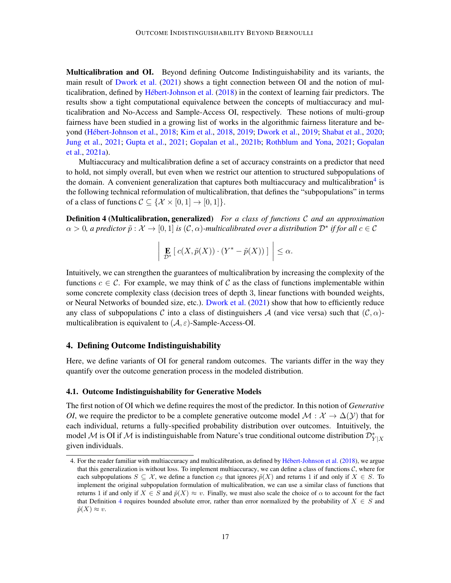Multicalibration and OI. Beyond defining Outcome Indistinguishability and its variants, the main result of [Dwork et al.](#page-37-0) [\(2021\)](#page-37-0) shows a tight connection between OI and the notion of mul-ticalibration, defined by Hébert-Johnson et al. [\(2018\)](#page-38-5) in the context of learning fair predictors. The results show a tight computational equivalence between the concepts of multiaccuracy and multicalibration and No-Access and Sample-Access OI, respectively. These notions of multi-group fairness have been studied in a growing list of works in the algorithmic fairness literature and be-yond (Hébert-Johnson et al., [2018;](#page-38-5) [Kim et al.,](#page-38-8) [2018,](#page-38-8) [2019;](#page-37-5) [Dwork et al.,](#page-37-5) 2019; [Shabat et al.,](#page-38-10) [2020;](#page-38-10) [Jung et al.,](#page-38-1) [2021;](#page-38-1) [Gupta et al.,](#page-37-6) [2021;](#page-37-6) [Gopalan et al.,](#page-37-7) [2021b;](#page-37-7) [Rothblum and Yona,](#page-38-6) [2021;](#page-38-6) [Gopalan](#page-37-3) [et al.,](#page-37-3) [2021a\)](#page-37-3).

Multiaccuracy and multicalibration define a set of accuracy constraints on a predictor that need to hold, not simply overall, but even when we restrict our attention to structured subpopulations of the domain. A convenient generalization that captures both multiaccuracy and multicalibration<sup>[4](#page-16-1)</sup> is the following technical reformulation of multicalibration, that defines the "subpopulations" in terms of a class of functions  $C \subseteq \{X \times [0,1] \to [0,1]\}.$ 

Definition 4 (Multicalibration, generalized) *For a class of functions* C *and an approximation*  $\alpha > 0$ , a predictor  $\tilde{p}: \mathcal{X} \to [0,1]$  is  $(\mathcal{C}, \alpha)$ -multicalibrated over a distribution  $\mathcal{D}^*$  if for all  $c \in \mathcal{C}$ 

<span id="page-16-2"></span>
$$
\left| \left| \mathbf{E}_{\mathcal{D}^*} \left[ c(X, \tilde{p}(X)) \cdot (Y^* - \tilde{p}(X)) \right] \right| \right| \leq \alpha.
$$

Intuitively, we can strengthen the guarantees of multicalibration by increasing the complexity of the functions  $c \in \mathcal{C}$ . For example, we may think of C as the class of functions implementable within some concrete complexity class (decision trees of depth 3, linear functions with bounded weights, or Neural Networks of bounded size, etc.). [Dwork et al.](#page-37-0) [\(2021\)](#page-37-0) show that how to efficiently reduce any class of subpopulations C into a class of distinguishers A (and vice versa) such that  $(C, \alpha)$ multicalibration is equivalent to  $(A, \varepsilon)$ -Sample-Access-OI.

# <span id="page-16-0"></span>4. Defining Outcome Indistinguishability

Here, we define variants of OI for general random outcomes. The variants differ in the way they quantify over the outcome generation process in the modeled distribution.

#### 4.1. Outcome Indistinguishability for Generative Models

The first notion of OI which we define requires the most of the predictor. In this notion of *Generative OI*, we require the predictor to be a complete generative outcome model  $M : \mathcal{X} \to \Delta(\mathcal{Y})$  that for each individual, returns a fully-specified probability distribution over outcomes. Intuitively, the model M is OI if M is indistinguishable from Nature's true conditional outcome distribution  $\mathcal{D}_{Y|X}^*$ given individuals.

<span id="page-16-1"></span><sup>4.</sup> For the reader familiar with multiaccuracy and multicalibration, as defined by Hébert-Johnson et al. [\(2018\)](#page-38-5), we argue that this generalization is without loss. To implement multiaccuracy, we can define a class of functions  $C$ , where for each subpopulations  $S \subseteq \mathcal{X}$ , we define a function  $c_S$  that ignores  $\tilde{p}(X)$  and returns 1 if and only if  $X \in S$ . To implement the original subpopulation formulation of multicalibration, we can use a similar class of functions that returns 1 if and only if  $X \in S$  and  $\tilde{p}(X) \approx v$ . Finally, we must also scale the choice of  $\alpha$  to account for the fact that Definition [4](#page-16-2) requires bounded absolute error, rather than error normalized by the probability of  $X \in S$  and  $\tilde{p}(X) \approx v.$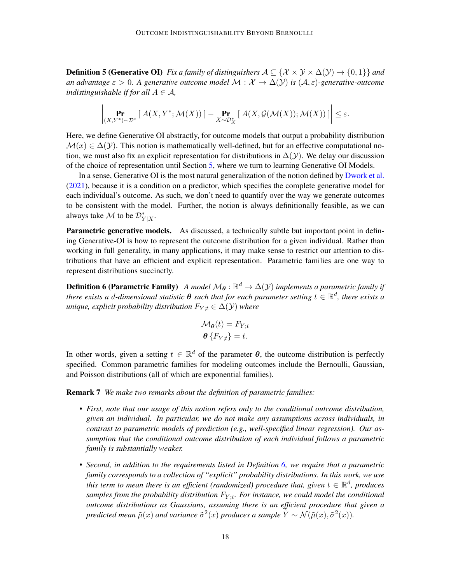**Definition 5 (Generative OI)** *Fix a family of distinguishers*  $A \subseteq \{X \times Y \times \Delta(Y) \rightarrow \{0,1\}\}\$ and *an advantage*  $\varepsilon > 0$ . A generative outcome model  $\mathcal{M}: \mathcal{X} \to \Delta(\mathcal{Y})$  is  $(\mathcal{A}, \varepsilon)$ -generative-outcome *indistinguishable if for all*  $A \in \mathcal{A}$ *,* 

$$
\left|\Pr_{(X,Y^*)\sim\mathcal{D}^*}\left[\ A(X,Y^*;\mathcal{M}(X))\ \right]-\Pr_{X\sim\mathcal{D}^*_X}\left[\ A(X,\mathcal{G}(\mathcal{M}(X));\mathcal{M}(X))\ \right]\right|\leq\varepsilon.
$$

Here, we define Generative OI abstractly, for outcome models that output a probability distribution  $\mathcal{M}(x) \in \Delta(\mathcal{Y})$ . This notion is mathematically well-defined, but for an effective computational notion, we must also fix an explicit representation for distributions in  $\Delta(Y)$ . We delay our discussion of the choice of representation until Section [5,](#page-22-0) where we turn to learning Generative OI Models.

In a sense, Generative OI is the most natural generalization of the notion defined by [Dwork et al.](#page-37-0) [\(2021\)](#page-37-0), because it is a condition on a predictor, which specifies the complete generative model for each individual's outcome. As such, we don't need to quantify over the way we generate outcomes to be consistent with the model. Further, the notion is always definitionally feasible, as we can always take  $\mathcal M$  to be  $\mathcal D_{Y|X}^*$ .

Parametric generative models. As discussed, a technically subtle but important point in defining Generative-OI is how to represent the outcome distribution for a given individual. Rather than working in full generality, in many applications, it may make sense to restrict our attention to distributions that have an efficient and explicit representation. Parametric families are one way to represent distributions succinctly.

**Definition 6 (Parametric Family)** A model  $\mathcal{M}_{\theta} : \mathbb{R}^d \to \Delta(\mathcal{Y})$  implements a parametric family if there exists a d-dimensional statistic  $\bm{\theta}$  such that for each parameter setting  $t \in \mathbb{R}^d$ , there exists a *unique, explicit probability distribution*  $F_{Y,t} \in \Delta(Y)$  *where* 

<span id="page-17-0"></span>
$$
\mathcal{M}_{\theta}(t) = F_{Y;t} \n\theta \{F_{Y;t}\} = t.
$$

In other words, given a setting  $t \in \mathbb{R}^d$  of the parameter  $\theta$ , the outcome distribution is perfectly specified. Common parametric families for modeling outcomes include the Bernoulli, Gaussian, and Poisson distributions (all of which are exponential families).

Remark 7 *We make two remarks about the definition of parametric families:*

- *First, note that our usage of this notion refers only to the conditional outcome distribution, given an individual. In particular, we do not make any assumptions across individuals, in contrast to parametric models of prediction (e.g., well-specified linear regression). Our assumption that the conditional outcome distribution of each individual follows a parametric family is substantially weaker.*
- *Second, in addition to the requirements listed in Definition [6,](#page-17-0) we require that a parametric family corresponds to a collection of "explicit" probability distributions. In this work, we use* this term to mean there is an efficient (randomized) procedure that, given  $t \in \mathbb{R}^d$ , produces samples from the probability distribution  $F_{Y;t}$ . For instance, we could model the conditional *outcome distributions as Gaussians, assuming there is an efficient procedure that given a predicted mean*  $\tilde{\mu}(x)$  *and variance*  $\tilde{\sigma}^2(x)$  *produces a sample*  $\tilde{Y} \sim \mathcal{N}(\tilde{\mu}(x), \tilde{\sigma}^2(x))$ .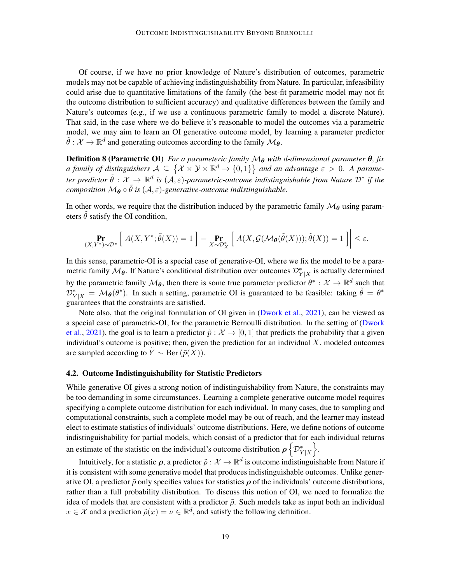Of course, if we have no prior knowledge of Nature's distribution of outcomes, parametric models may not be capable of achieving indistinguishability from Nature. In particular, infeasibility could arise due to quantitative limitations of the family (the best-fit parametric model may not fit the outcome distribution to sufficient accuracy) and qualitative differences between the family and Nature's outcomes (e.g., if we use a continuous parametric family to model a discrete Nature). That said, in the case where we do believe it's reasonable to model the outcomes via a parametric model, we may aim to learn an OI generative outcome model, by learning a parameter predictor  $\tilde{\theta}: \mathcal{X} \to \mathbb{R}^d$  and generating outcomes according to the family  $\mathcal{M}_{\theta}$ .

**Definition 8 (Parametric OI)** *For a parameteric family*  $M_{\theta}$  *with* d-dimensional parameter  $\theta$ , fix *a* family of distinguishers  $A \subseteq \{X \times Y \times \mathbb{R}^d \to \{0,1\}\}$  and an advantage  $\varepsilon > 0$ . A parameter predictor  $\tilde{\theta}: \mathcal{X} \to \mathbb{R}^d$  is  $(\mathcal{A}, \varepsilon)$ -parametric-outcome indistinguishable from Nature  $\mathcal{D}^*$  if the *composition*  $M_{\theta} \circ \tilde{\theta}$  *is*  $(A, \varepsilon)$ -generative-outcome indistinguishable.

In other words, we require that the distribution induced by the parametric family  $\mathcal{M}_{\theta}$  using parameters  $\tilde{\theta}$  satisfy the OI condition,

$$
\left| \underset{(X,Y^*) \sim \mathcal{D}^*}{\Pr} \left[ \ A(X,Y^*; \tilde{\theta}(X)) = 1 \ \right] - \underset{X \sim \mathcal{D}_X^*}{\Pr} \left[ \ A(X, \mathcal{G}(\mathcal{M}_{\theta}(\tilde{\theta}(X))), \tilde{\theta}(X)) = 1 \ \right] \right| \le \varepsilon.
$$

In this sense, parametric-OI is a special case of generative-OI, where we fix the model to be a parametric family  $\mathcal{M}_{\theta}$ . If Nature's conditional distribution over outcomes  $\mathcal{D}_{Y|X}^*$  is actually determined by the parametric family  $\mathcal{M}_{\theta}$ , then there is some true parameter predictor  $\theta^* : \mathcal{X} \to \mathbb{R}^d$  such that  $\mathcal{D}_{Y|X}^* = \mathcal{M}_{\theta}(\theta^*)$ . In such a setting, parametric OI is guaranteed to be feasible: taking  $\tilde{\theta} = \theta^*$ guarantees that the constraints are satisfied.

Note also, that the original formulation of OI given in [\(Dwork et al.,](#page-37-0) [2021\)](#page-37-0), can be viewed as a special case of parametric-OI, for the parametric Bernoulli distribution. In the setting of [\(Dwork](#page-37-0) [et al.,](#page-37-0) [2021\)](#page-37-0), the goal is to learn a predictor  $\tilde{p}$  :  $\mathcal{X} \to [0, 1]$  that predicts the probability that a given individual's outcome is positive; then, given the prediction for an individual  $X$ , modeled outcomes are sampled according to  $\tilde{Y} \sim \text{Ber}(\tilde{p}(X)).$ 

#### <span id="page-18-0"></span>4.2. Outcome Indistinguishability for Statistic Predictors

While generative OI gives a strong notion of indistinguishability from Nature, the constraints may be too demanding in some circumstances. Learning a complete generative outcome model requires specifying a complete outcome distribution for each individual. In many cases, due to sampling and computational constraints, such a complete model may be out of reach, and the learner may instead elect to estimate statistics of individuals' outcome distributions. Here, we define notions of outcome indistinguishability for partial models, which consist of a predictor that for each individual returns an estimate of the statistic on the individual's outcome distribution  $\rho \left\{ \mathcal{D}_{Y|X}^* \right\}$ .

Intuitively, for a statistic  $\rho$ , a predictor  $\tilde{\rho}: \mathcal{X} \to \mathbb{R}^d$  is outcome indistinguishable from Nature if it is consistent with some generative model that produces indistinguishable outcomes. Unlike generative OI, a predictor  $\tilde{\rho}$  only specifies values for statistics  $\rho$  of the individuals' outcome distributions, rather than a full probability distribution. To discuss this notion of OI, we need to formalize the idea of models that are consistent with a predictor  $\tilde{\rho}$ . Such models take as input both an individual  $x \in \mathcal{X}$  and a prediction  $\tilde{\rho}(x) = \nu \in \mathbb{R}^d$ , and satisfy the following definition.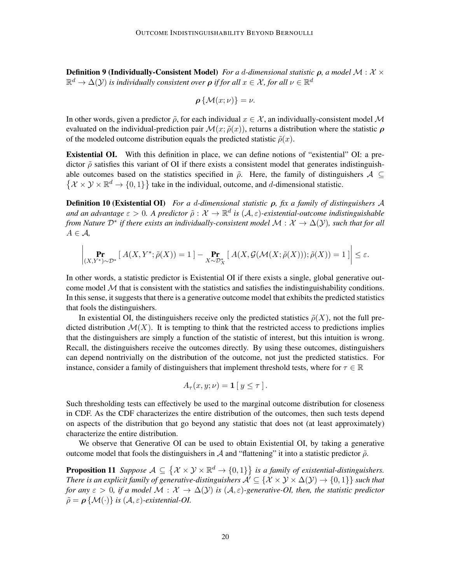**Definition 9 (Individually-Consistent Model)** *For a d-dimensional statistic*  $\rho$ *, a model*  $M : \mathcal{X} \times$  $\mathbb{R}^d \to \Delta({\mathcal Y})$  is individually consistent over  $\boldsymbol \rho$  if for all  $x \in {\mathcal X}$ , for all  $\nu \in \mathbb{R}^d$ 

$$
\boldsymbol{\rho}\left\{\mathcal{M}(x;\nu)\right\} = \nu
$$

In other words, given a predictor  $\tilde{\rho}$ , for each individual  $x \in \mathcal{X}$ , an individually-consistent model M evaluated on the individual-prediction pair  $\mathcal{M}(x; \tilde{\rho}(x))$ , returns a distribution where the statistic  $\rho$ of the modeled outcome distribution equals the predicted statistic  $\tilde{\rho}(x)$ .

Existential OI. With this definition in place, we can define notions of "existential" OI: a predictor  $\tilde{\rho}$  satisfies this variant of OI if there exists a consistent model that generates indistinguishable outcomes based on the statistics specified in  $\tilde{\rho}$ . Here, the family of distinguishers  $\mathcal{A} \subseteq$  $\{X \times Y \times \mathbb{R}^d \to \{0,1\}\}\$  take in the individual, outcome, and d-dimensional statistic.

<span id="page-19-0"></span>Definition 10 (Existential OI) *For a* d*-dimensional statistic* ρ*, fix a family of distinguishers* A and an advantage  $\varepsilon > 0$ . A predictor  $\tilde{\rho}: \mathcal{X} \to \mathbb{R}^d$  is  $(\mathcal{A}, \varepsilon)$ -existential-outcome indistinguishable *from Nature*  $\mathcal{D}^*$  *if there exists an individually-consistent model*  $\mathcal{M}: \mathcal{X} \to \Delta(\mathcal{Y})$ *, such that for all* A ∈ A*,*

$$
\left|\Pr_{(X,Y^*)\sim\mathcal{D}^*}[\ A(X,Y^*;\tilde{\rho}(X))=1]-\Pr_{X\sim\mathcal{D}^*_{X}}[\ A(X,\mathcal{G}(\mathcal{M}(X;\tilde{\rho}(X)));\tilde{\rho}(X))=1]\right|\leq\varepsilon.
$$

In other words, a statistic predictor is Existential OI if there exists a single, global generative outcome model  $M$  that is consistent with the statistics and satisfies the indistinguishability conditions. In this sense, it suggests that there is a generative outcome model that exhibits the predicted statistics that fools the distinguishers.

In existential OI, the distinguishers receive only the predicted statistics  $\tilde{\rho}(X)$ , not the full predicted distribution  $\mathcal{M}(X)$ . It is tempting to think that the restricted access to predictions implies that the distinguishers are simply a function of the statistic of interest, but this intuition is wrong. Recall, the distinguishers receive the outcomes directly. By using these outcomes, distinguishers can depend nontrivially on the distribution of the outcome, not just the predicted statistics. For instance, consider a family of distinguishers that implement threshold tests, where for  $\tau \in \mathbb{R}$ 

$$
A_{\tau}(x, y; \nu) = \mathbf{1} [y \leq \tau].
$$

Such thresholding tests can effectively be used to the marginal outcome distribution for closeness in CDF. As the CDF characterizes the entire distribution of the outcomes, then such tests depend on aspects of the distribution that go beyond any statistic that does not (at least approximately) characterize the entire distribution.

We observe that Generative OI can be used to obtain Existential OI, by taking a generative outcome model that fools the distinguishers in A and "flattening" it into a statistic predictor  $\tilde{\rho}$ .

**Proposition 11** Suppose  $A \subseteq \{X \times Y \times \mathbb{R}^d \to \{0,1\}\}$  is a family of existential-distinguishers. *There is an explicit family of generative-distinguishers*  $\mathcal{A}' \subseteq \{X \times Y \times \Delta(Y) \to \{0,1\}\}\$  *such that for any*  $\varepsilon > 0$ , *if a model*  $\mathcal{M} : \mathcal{X} \to \Delta(\mathcal{Y})$  *is*  $(\mathcal{A}, \varepsilon)$ -generative-OI, then, the statistic predictor  $\tilde{\rho} = \rho \{ \mathcal{M}(\cdot) \}$  *is*  $(\mathcal{A}, \varepsilon)$ -existential-OI.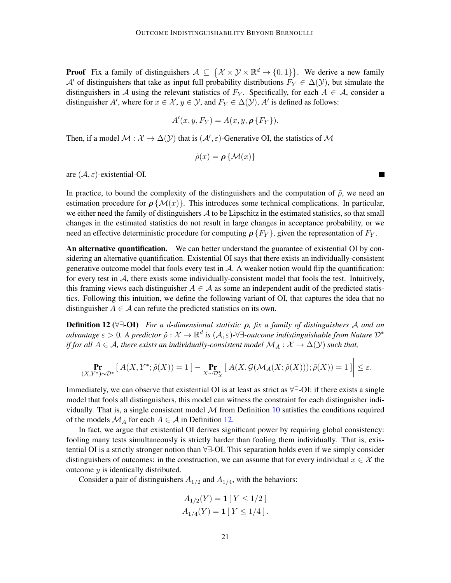**Proof** Fix a family of distinguishers  $A \subseteq \{X \times Y \times \mathbb{R}^d \to \{0,1\}\}\.$  We derive a new family A' of distinguishers that take as input full probability distributions  $F_Y \in \Delta(\mathcal{Y})$ , but simulate the distinguishers in A using the relevant statistics of  $F_Y$ . Specifically, for each  $A \in \mathcal{A}$ , consider a distinguisher A', where for  $x \in \mathcal{X}, y \in \mathcal{Y}$ , and  $F_Y \in \Delta(\mathcal{Y})$ , A' is defined as follows:

$$
A'(x, y, F_Y) = A(x, y, \boldsymbol{\rho} \{F_Y\}).
$$

Then, if a model  $M : \mathcal{X} \to \Delta(\mathcal{Y})$  that is  $(\mathcal{A}', \varepsilon)$ -Generative OI, the statistics of M

$$
\tilde{\rho}(x) = \rho \{ \mathcal{M}(x) \}
$$

are  $(A, \varepsilon)$ -existential-OI.

In practice, to bound the complexity of the distinguishers and the computation of  $\tilde{\rho}$ , we need an estimation procedure for  $\rho \{M(x)\}\$ . This introduces some technical complications. In particular, we either need the family of distinguishers  $A$  to be Lipschitz in the estimated statistics, so that small changes in the estimated statistics do not result in large changes in acceptance probability, or we need an effective deterministic procedure for computing  $\rho \{F_Y\}$ , given the representation of  $F_Y$ .

An alternative quantification. We can better understand the guarantee of existential OI by considering an alternative quantification. Existential OI says that there exists an individually-consistent generative outcome model that fools every test in  $A$ . A weaker notion would flip the quantification: for every test in  $A$ , there exists some individually-consistent model that fools the test. Intuitively, this framing views each distinguisher  $A \in \mathcal{A}$  as some an independent audit of the predicted statistics. Following this intuition, we define the following variant of OI, that captures the idea that no distinguisher  $A \in \mathcal{A}$  can refute the predicted statistics on its own.

Definition 12 (∀∃-OI) *For a* d*-dimensional statistic* ρ*, fix a family of distinguishers* A *and an*  $a$ dvantage  $\varepsilon > 0$ . A predictor  $\tilde\rho: \mathcal X \to \mathbb R^d$  is  $(\mathcal A,\varepsilon)$ -∀∃-outcome indistinguishable from Nature  $\mathcal D^*$ *if for all*  $A \in \mathcal{A}$ *, there exists an individually-consistent model*  $\mathcal{M}_A : \mathcal{X} \to \Delta(\mathcal{Y})$  *such that,* 

$$
\left|\Pr_{(X,Y^*)\sim\mathcal{D}^*} \left[\ A(X,Y^*;\tilde{\rho}(X)) = 1\ \right] - \Pr_{X\sim\mathcal{D}^*_X} \left[\ A(X,\mathcal{G}(\mathcal{M}_A(X;\tilde{\rho}(X))); \tilde{\rho}(X)) = 1\ \right]\right| \leq \varepsilon.
$$

Immediately, we can observe that existential OI is at least as strict as ∀∃-OI: if there exists a single model that fools all distinguishers, this model can witness the constraint for each distinguisher individually. That is, a single consistent model  $M$  from Definition  $10$  satisfies the conditions required of the models  $\mathcal{M}_A$  for each  $A \in \mathcal{A}$  in Definition [12.](#page-20-0)

In fact, we argue that existential OI derives significant power by requiring global consistency: fooling many tests simultaneously is strictly harder than fooling them individually. That is, existential OI is a strictly stronger notion than ∀∃-OI. This separation holds even if we simply consider distinguishers of outcomes: in the construction, we can assume that for every individual  $x \in \mathcal{X}$  the outcome  $y$  is identically distributed.

Consider a pair of distinguishers  $A_{1/2}$  and  $A_{1/4}$ , with the behaviors:

$$
A_{1/2}(Y) = \mathbf{1} [Y \le 1/2 ]
$$
  

$$
A_{1/4}(Y) = \mathbf{1} [Y \le 1/4 ].
$$

<span id="page-20-0"></span>**T**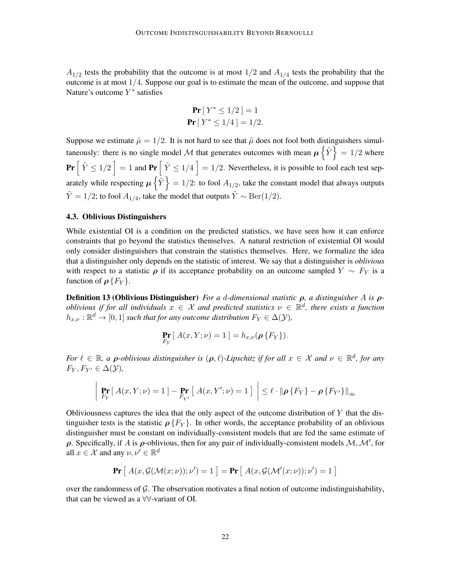$A_{1/2}$  tests the probability that the outcome is at most  $1/2$  and  $A_{1/4}$  tests the probability that the outcome is at most  $1/4$ . Suppose our goal is to estimate the mean of the outcome, and suppose that Nature's outcome  $Y^*$  satisfies

**Pr** 
$$
[Y^* \le 1/2] = 1
$$
  
**Pr**  $[Y^* \le 1/4] = 1/2$ .

Suppose we estimate  $\tilde{\mu} = 1/2$ . It is not hard to see that  $\tilde{\mu}$  does not fool both distinguishers simultaneously: there is no single model M that generates outcomes with mean  $\mu \{\tilde{Y}\}=1/2$  where  $\Pr\left[\tilde{Y} \leq 1/2\right] = 1$  and  $\Pr\left[\tilde{Y} \leq 1/4\right] = 1/2$ . Nevertheless, it is possible to fool each test separately while respecting  $\mu\left\{\tilde{Y}\right\}=1/2$ : to fool  $A_{1/2}$ , take the constant model that always outputs  $\tilde{Y} = 1/2$ ; to fool  $A_{1/4}$ , take the model that outputs  $\tilde{Y} \sim \text{Ber}(1/2)$ .

# 4.3. Oblivious Distinguishers

While existential OI is a condition on the predicted statistics, we have seen how it can enforce constraints that go beyond the statistics themselves. A natural restriction of existential OI would only consider distinguishers that constrain the statistics themselves. Here, we formalize the idea that a distinguisher only depends on the statistic of interest. We say that a distinguisher is *oblivious* with respect to a statistic  $\rho$  if its acceptance probability on an outcome sampled  $Y \sim F_Y$  is a function of  $\rho$  { $F_Y$ }.

Definition 13 (Oblivious Distinguisher) *For a* d*-dimensional statistic* ρ*, a distinguisher* A *is* ρ*oblivious if for all individuals*  $x \in \mathcal{X}$  and predicted statistics  $\nu \in \mathbb{R}^d$ , there exists a function  $h_{x,\nu} : \mathbb{R}^d \to [0,1]$  *such that for any outcome distribution*  $F_Y \in \Delta(\mathcal{Y})$ *,* 

$$
\Pr_{F_Y} [A(x,Y;\nu) = 1] = h_{x,\nu}(\rho \{F_Y\}).
$$

*For*  $\ell \in \mathbb{R}$ , a *ρ*-*oblivious distinguisher is*  $(\rho, \ell)$ -*Lipschitz if for all*  $x \in \mathcal{X}$  and  $\nu \in \mathbb{R}^d$ , for any  $F_Y, F_{Y'} \in \Delta(\mathcal{Y}),$ 

$$
\left| \Pr_{F_Y} \left[ \left. A(x, Y; \nu) = 1 \right. \right] - \Pr_{F_{Y'}} \left[ \left. A(x, Y'; \nu) = 1 \right. \right] \right| \le \ell \cdot \left\| \rho \left\{ F_Y \right\} - \rho \left\{ F_{Y'} \right\} \right\|_{\infty}
$$

Obliviousness captures the idea that the only aspect of the outcome distribution of  $Y$  that the distinguisher tests is the statistic  $\rho\{F_Y\}$ . In other words, the acceptance probability of an oblivious distinguisher must be constant on individually-consistent models that are fed the same estimate of  $ρ$ . Specifically, if A is  $ρ$ -oblivious, then for any pair of individually-consistent models  $M, M'$ , for all  $x \in \mathcal{X}$  and any  $\nu, \nu' \in \mathbb{R}^d$ 

$$
\Pr\left[A(x, \mathcal{G}(\mathcal{M}(x; \nu)); \nu') = 1\right] = \Pr\left[A(x, \mathcal{G}(\mathcal{M}'(x; \nu)); \nu') = 1\right]
$$

over the randomness of  $G$ . The observation motivates a final notion of outcome indistinguishability, that can be viewed as a ∀∀-variant of OI.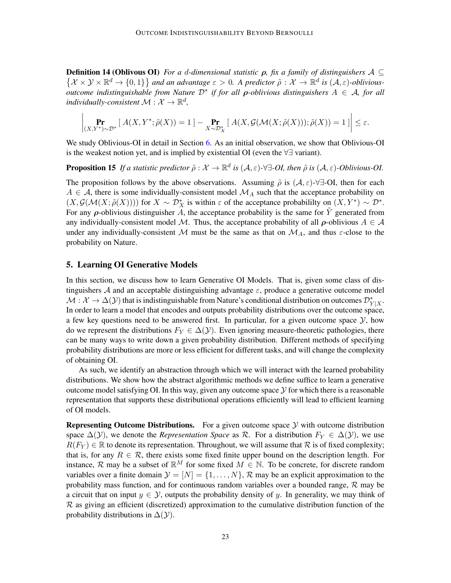**Definition 14 (Oblivous OI)** *For a d-dimensional statistic*  $\rho$ *, fix a family of distinguishers*  $\mathcal{A} \subseteq$  $\{ \mathcal{X} \times \mathcal{Y} \times \mathbb{R}^d \to \{0,1\} \}$  and an advantage  $\varepsilon > 0$ . A predictor  $\tilde{\rho}: \mathcal{X} \to \mathbb{R}^d$  is  $(\mathcal{A}, \varepsilon)$ -oblivious*outcome indistinguishable from Nature* D<sup>∗</sup> *if for all* ρ*-oblivious distinguishers* A ∈ A*, for all* individually-consistent  $\mathcal{M}: \mathcal{X} \to \mathbb{R}^d$ ,

$$
\left|\Pr_{(X,Y^*)\sim\mathcal{D}^*}[\ A(X,Y^*;\tilde{\rho}(X))=1]-\Pr_{X\sim\mathcal{D}^*_{X}}[\ A(X,\mathcal{G}(\mathcal{M}(X;\tilde{\rho}(X)));\tilde{\rho}(X))=1]\right|\leq\varepsilon.
$$

We study Oblivious-OI in detail in Section [6.](#page-29-0) As an initial observation, we show that Oblivious-OI is the weakest notion yet, and is implied by existential OI (even the ∀∃ variant).

**Proposition 15** If a statistic predictor  $\tilde{\rho}: \mathcal{X} \to \mathbb{R}^d$  is  $(\mathcal{A}, \varepsilon)$ - $\forall \exists$ -*OI*, then  $\tilde{\rho}$  is  $(\mathcal{A}, \varepsilon)$ -*Oblivious-OI*.

The proposition follows by the above observations. Assuming  $\tilde{\rho}$  is  $(\mathcal{A}, \varepsilon)$ - $\forall \exists$ -OI, then for each  $A \in \mathcal{A}$ , there is some individually-consistent model  $\mathcal{M}_A$  such that the acceptance probability on  $(X, \mathcal{G}(\mathcal{M}(X;\tilde{\rho}(X))))$  for  $X \sim \mathcal{D}_X^*$  is within  $\varepsilon$  of the acceptance probabililty on  $(X, Y^*) \sim \mathcal{D}^*$ . For any  $\rho$ -oblivious distinguisher A, the acceptance probability is the same for Y generated from any individually-consistent model M. Thus, the acceptance probability of all  $\rho$ -oblivious  $A \in \mathcal{A}$ under any individually-consistent M must be the same as that on  $\mathcal{M}_A$ , and thus  $\varepsilon$ -close to the probability on Nature.

## <span id="page-22-0"></span>5. Learning OI Generative Models

In this section, we discuss how to learn Generative OI Models. That is, given some class of distinguishers A and an acceptable distinguishing advantage  $\varepsilon$ , produce a generative outcome model  $\mathcal{M}: \mathcal{X} \to \Delta(\mathcal{Y})$  that is indistinguishable from Nature's conditional distribution on outcomes  $\mathcal{D}_{Y|X}^*$ . In order to learn a model that encodes and outputs probability distributions over the outcome space, a few key questions need to be answered first. In particular, for a given outcome space  $\mathcal{Y}$ , how do we represent the distributions  $F_Y \in \Delta(\mathcal{Y})$ . Even ignoring measure-theoretic pathologies, there can be many ways to write down a given probability distribution. Different methods of specifying probability distributions are more or less efficient for different tasks, and will change the complexity of obtaining OI.

As such, we identify an abstraction through which we will interact with the learned probability distributions. We show how the abstract algorithmic methods we define suffice to learn a generative outcome model satisfying OI. In this way, given any outcome space  $\mathcal Y$  for which there is a reasonable representation that supports these distributional operations efficiently will lead to efficient learning of OI models.

**Representing Outcome Distributions.** For a given outcome space  $\mathcal{Y}$  with outcome distribution space  $\Delta(\mathcal{Y})$ , we denote the *Representation Space* as R. For a distribution  $F_Y \in \Delta(\mathcal{Y})$ , we use  $R(F_Y) \in \mathbb{R}$  to denote its representation. Throughout, we will assume that R is of fixed complexity; that is, for any  $R \in \mathcal{R}$ , there exists some fixed finite upper bound on the description length. For instance, R may be a subset of  $\mathbb{R}^M$  for some fixed  $M \in \mathbb{N}$ . To be concrete, for discrete random variables over a finite domain  $\mathcal{Y} = [N] = \{1, \ldots, N\}$ , R may be an explicit approximation to the probability mass function, and for continuous random variables over a bounded range,  $\mathcal{R}$  may be a circuit that on input  $y \in \mathcal{Y}$ , outputs the probability density of y. In generality, we may think of  $\mathcal R$  as giving an efficient (discretized) approximation to the cumulative distribution function of the probability distributions in  $\Delta(y)$ .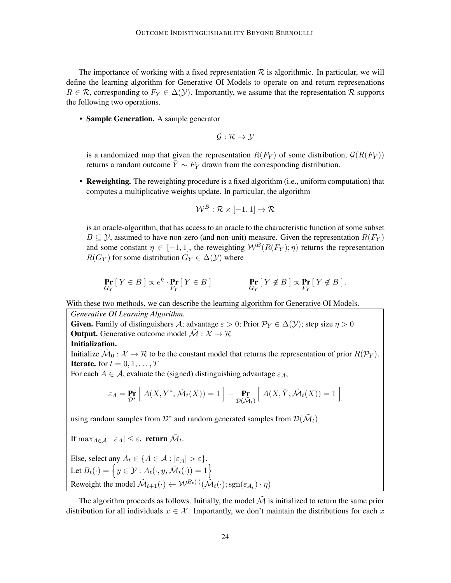The importance of working with a fixed representation  $R$  is algorithmic. In particular, we will define the learning algorithm for Generative OI Models to operate on and return represenations  $R \in \mathcal{R}$ , corresponding to  $F_Y \in \Delta(\mathcal{Y})$ . Importantly, we assume that the representation  $\mathcal{R}$  supports the following two operations.

• Sample Generation. A sample generator

$$
\mathcal{G}:\mathcal{R}\rightarrow\mathcal{Y}
$$

is a randomized map that given the representation  $R(F_Y)$  of some distribution,  $G(R(F_Y))$ returns a random outcome  $\tilde{Y} \sim F_Y$  drawn from the corresponding distribution.

• Reweighting. The reweighting procedure is a fixed algorithm (i.e., uniform computation) that computes a multiplicative weights update. In particular, the algorithm

$$
\mathcal{W}^B: \mathcal{R} \times [-1,1] \to \mathcal{R}
$$

is an oracle-algorithm, that has access to an oracle to the characteristic function of some subset  $B \subseteq \mathcal{Y}$ , assumed to have non-zero (and non-unit) measure. Given the representation  $R(F_Y)$ and some constant  $\eta \in [-1, 1]$ , the reweighting  $W^B(R(F_Y); \eta)$  returns the representation  $R(G_Y)$  for some distribution  $G_Y \in \Delta(\mathcal{Y})$  where

$$
\Pr_{G_Y} \left[ \, Y \in B \, \right] \propto e^{\eta} \cdot \Pr_{F_Y} \left[ \, Y \in B \, \right] \qquad \qquad \Pr_{G_Y} \left[ \, Y \notin B \, \right] \propto \Pr_{F_Y} \left[ \, Y \notin B \, \right].
$$

With these two methods, we can describe the learning algorithm for Generative OI Models.

*Generative OI Learning Algorithm.*

**Given.** Family of distinguishers A; advantage  $\varepsilon > 0$ ; Prior  $\mathcal{P}_Y \in \Delta(\mathcal{Y})$ ; step size  $\eta > 0$ **Output.** Generative outcome model  $\tilde{\mathcal{M}} : \mathcal{X} \to \mathcal{R}$ 

#### Initialization.

Initialize  $\tilde{\mathcal{M}}_0:\mathcal{X}\to\mathcal{R}$  to be the constant model that returns the representation of prior  $R(\mathcal{P}_Y).$ **Iterate.** for  $t = 0, 1, \ldots, T$ 

For each  $A \in \mathcal{A}$ , evaluate the (signed) distinguishing advantage  $\varepsilon_A$ ,

$$
\varepsilon_A = \Pr_{\mathcal{D}^*} \left[ \ A(X, Y^*; \tilde{\mathcal{M}}_t(X)) = 1 \ \right] - \Pr_{\mathcal{D}(\tilde{\mathcal{M}}_t)} \left[ \ A(X, \tilde{Y}; \tilde{\mathcal{M}}_t(X)) = 1 \ \right]
$$

using random samples from  $\mathcal{D}^*$  and random generated samples from  $\mathcal{D}(\tilde{\mathcal{M}}_t)$ 

If  $\max_{A \in \mathcal{A}} | \varepsilon_A | \leq \varepsilon$ , return  $\tilde{\mathcal{M}}_t$ .

Else, select any  $A_t \in \{A \in \mathcal{A} : |\varepsilon_A| > \varepsilon\}.$ Let  $B_t(\cdot) = \left\{ y \in \mathcal{Y} : A_t(\cdot, y, \tilde{\mathcal{M}}_t(\cdot)) = 1 \right\}$ Reweight the model  $\mathcal{\tilde{M}}_{t+1}(\cdot) \leftarrow \mathcal{W}^{B_t(\cdot)}(\mathcal{\tilde{M}}_t(\cdot); \text{sgn}(\varepsilon_{A_t}) \cdot \eta)$ 

The algorithm proceeds as follows. Initially, the model  $M$  is initialized to return the same prior distribution for all individuals  $x \in \mathcal{X}$ . Importantly, we don't maintain the distributions for each x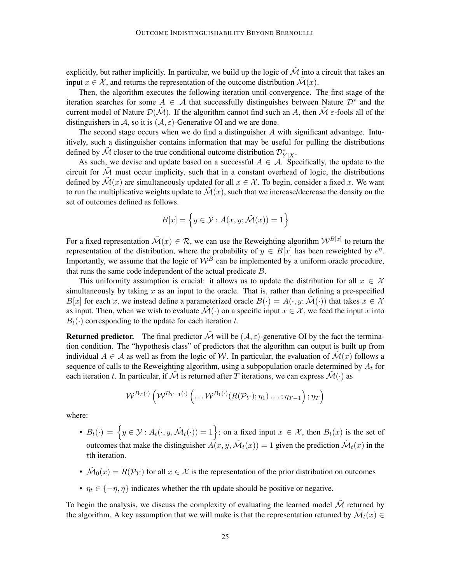explicitly, but rather implicitly. In particular, we build up the logic of  $\tilde{\mathcal{M}}$  into a circuit that takes an input  $x \in \mathcal{X}$ , and returns the representation of the outcome distribution  $\mathcal{M}(x)$ .

Then, the algorithm executes the following iteration until convergence. The first stage of the iteration searches for some  $A \in \mathcal{A}$  that successfully distinguishes between Nature  $\mathcal{D}^*$  and the current model of Nature  $\mathcal{D}(\tilde{\mathcal{M}})$ . If the algorithm cannot find such an A, then  $\tilde{\mathcal{M}}$   $\varepsilon$ -fools all of the distinguishers in A, so it is  $(A, \varepsilon)$ -Generative OI and we are done.

The second stage occurs when we do find a distinguisher  $A$  with significant advantage. Intuitively, such a distinguisher contains information that may be useful for pulling the distributions defined by  $\tilde{\mathcal{M}}$  closer to the true conditional outcome distribution  $\mathcal{D}_{Y|X}^*$ .

As such, we devise and update based on a successful  $A \in \mathcal{A}$ . Specifically, the update to the circuit for  $M$  must occur implicity, such that in a constant overhead of logic, the distributions defined by  $\mathcal{M}(x)$  are simultaneously updated for all  $x \in \mathcal{X}$ . To begin, consider a fixed x. We want to run the multiplicative weights update to  $\mathcal{M}(x)$ , such that we increase/decrease the density on the set of outcomes defined as follows.

$$
B[x] = \left\{ y \in \mathcal{Y} : A(x, y; \tilde{\mathcal{M}}(x)) = 1 \right\}
$$

For a fixed representation  $\tilde{\mathcal{M}}(x) \in \mathcal{R}$ , we can use the Reweighting algorithm  $\mathcal{W}^{B[x]}$  to return the representation of the distribution, where the probability of  $y \in B[x]$  has been reweighted by  $e^{\eta}$ . Importantly, we assume that the logic of  $W^B$  can be implemented by a uniform oracle procedure, that runs the same code independent of the actual predicate B.

This uniformity assumption is crucial: it allows us to update the distribution for all  $x \in \mathcal{X}$ simultaneously by taking  $x$  as an input to the oracle. That is, rather than defining a pre-specified  $B[x]$  for each x, we instead define a parameterized oracle  $B(\cdot) = A(\cdot, y; \tilde{\mathcal{M}}(\cdot))$  that takes  $x \in \mathcal{X}$ as input. Then, when we wish to evaluate  $\mathcal{M}(\cdot)$  on a specific input  $x \in \mathcal{X}$ , we feed the input x into  $B_t(\cdot)$  corresponding to the update for each iteration t.

**Returned predictor.** The final predictor  $\tilde{\mathcal{M}}$  will be  $(\mathcal{A}, \varepsilon)$ -generative OI by the fact the termination condition. The "hypothesis class" of predictors that the algorithm can output is built up from individual  $A \in \mathcal{A}$  as well as from the logic of W. In particular, the evaluation of  $\mathcal{M}(x)$  follows a sequence of calls to the Reweighting algorithm, using a subpopulation oracle determined by  $A_t$  for each iteration t. In particular, if  $\tilde{M}$  is returned after T iterations, we can express  $\tilde{M}(\cdot)$  as

$$
\mathcal{W}^{B_T(\cdot)}\left(\mathcal{W}^{B_{T-1}(\cdot)}\left(\ldots \mathcal{W}^{B_1(\cdot)}(R(\mathcal{P}_Y);\eta_1,\ldots;\eta_{T-1}\right);\eta_T\right)
$$

where:

- $B_t(\cdot) = \{y \in \mathcal{Y} : A_t(\cdot, y, \tilde{\mathcal{M}}_t(\cdot)) = 1\}$ ; on a fixed input  $x \in \mathcal{X}$ , then  $B_t(x)$  is the set of outcomes that make the distinguisher  $A(x, y, \tilde{M}_t(x)) = 1$  given the prediction  $\tilde{M}_t(x)$  in the tth iteration.
- $\mathcal{M}_0(x) = R(\mathcal{P}_Y)$  for all  $x \in \mathcal{X}$  is the representation of the prior distribution on outcomes
- $\eta_t \in \{-\eta, \eta\}$  indicates whether the *t*th update should be positive or negative.

To begin the analysis, we discuss the complexity of evaluating the learned model  $\tilde{\mathcal{M}}$  returned by the algorithm. A key assumption that we will make is that the representation returned by  $\mathcal{M}_t(x) \in$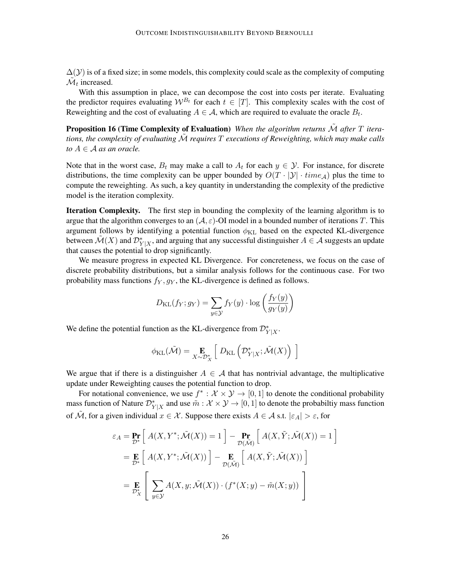$\Delta(y)$  is of a fixed size; in some models, this complexity could scale as the complexity of computing  $\mathcal{\tilde{M}}_t$  increased.

With this assumption in place, we can decompose the cost into costs per iterate. Evaluating the predictor requires evaluating  $W^{B_t}$  for each  $t \in [T]$ . This complexity scales with the cost of Reweighting and the cost of evaluating  $A \in \mathcal{A}$ , which are required to evaluate the oracle  $B_t$ .

Proposition 16 (Time Complexity of Evaluation) *When the algorithm returns*  $\tilde{\mathcal{M}}$  after T itera*tions, the complexity of evaluating* M˜ *requires* T *executions of Reweighting, which may make calls to*  $A \in \mathcal{A}$  *as an oracle.* 

Note that in the worst case,  $B_t$  may make a call to  $A_t$  for each  $y \in \mathcal{Y}$ . For instance, for discrete distributions, the time complexity can be upper bounded by  $O(T \cdot |\mathcal{Y}| \cdot \text{time}_{\mathcal{A}})$  plus the time to compute the reweighting. As such, a key quantity in understanding the complexity of the predictive model is the iteration complexity.

Iteration Complexity. The first step in bounding the complexity of the learning algorithm is to argue that the algorithm converges to an  $(A, \varepsilon)$ -OI model in a bounded number of iterations T. This argument follows by identifying a potential function  $\phi_{KL}$  based on the expected KL-divergence between  $\mathcal{M}(X)$  and  $\mathcal{D}_{Y|X}^*$ , and arguing that any successful distinguisher  $A \in \mathcal{A}$  suggests an update that causes the potential to drop significantly.

We measure progress in expected KL Divergence. For concreteness, we focus on the case of discrete probability distributions, but a similar analysis follows for the continuous case. For two probability mass functions  $f_Y, g_Y$ , the KL-divergence is defined as follows.

$$
D_{\text{KL}}(f_Y; g_Y) = \sum_{y \in \mathcal{Y}} f_Y(y) \cdot \log \left( \frac{f_Y(y)}{g_Y(y)} \right)
$$

We define the potential function as the KL-divergence from  $\mathcal{D}_{Y|X}^*$ .

$$
\phi_{\text{KL}}(\tilde{\mathcal{M}}) = \mathop{\mathbf{E}}_{X \sim \mathcal{D}^*_{X}} \left[ D_{\text{KL}}\left(\mathcal{D}^*_{Y|X}; \tilde{\mathcal{M}}(X)\right) \right]
$$

We argue that if there is a distinguisher  $A \in \mathcal{A}$  that has nontrivial advantage, the multiplicative update under Reweighting causes the potential function to drop.

For notational convenience, we use  $f^*: \mathcal{X} \times \mathcal{Y} \to [0,1]$  to denote the conditional probability mass function of Nature  $\mathcal{D}_{Y|X}^*$  and use  $\tilde{m}: \mathcal{X} \times \mathcal{Y} \to [0,1]$  to denote the probabiltiy mass function of  $\tilde{M}$ , for a given individual  $x \in \mathcal{X}$ . Suppose there exists  $A \in \mathcal{A}$  s.t.  $|\varepsilon_A| > \varepsilon$ , for

$$
\varepsilon_A = \Pr_{\mathcal{D}^*} \left[ A(X, Y^*; \tilde{\mathcal{M}}(X)) = 1 \right] - \Pr_{\mathcal{D}(\tilde{\mathcal{M}})} \left[ A(X, \tilde{Y}; \tilde{\mathcal{M}}(X)) = 1 \right]
$$
  
= 
$$
\mathbf{E} \left[ A(X, Y^*; \tilde{\mathcal{M}}(X)) \right] - \mathbf{E} \left[ A(X, \tilde{Y}; \tilde{\mathcal{M}}(X)) \right]
$$
  
= 
$$
\mathbf{E} \left[ \sum_{y \in \mathcal{Y}} A(X, y; \tilde{\mathcal{M}}(X)) \cdot (f^*(X; y) - \tilde{m}(X; y)) \right]
$$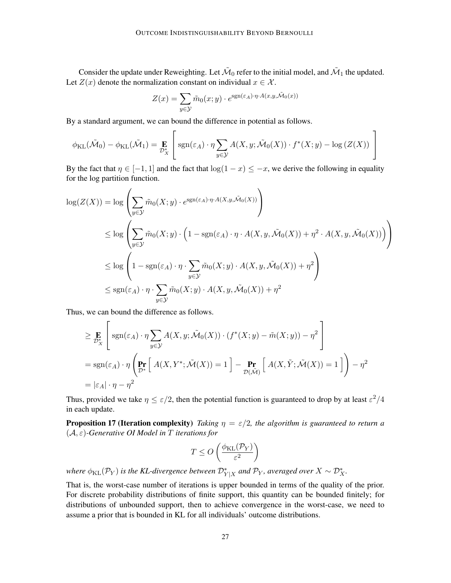Consider the update under Reweighting. Let  $\tilde{M}_0$  refer to the initial model, and  $\tilde{M}_1$  the updated. Let  $Z(x)$  denote the normalization constant on individual  $x \in \mathcal{X}$ .

$$
Z(x) = \sum_{y \in \mathcal{Y}} \tilde{m}_0(x; y) \cdot e^{\text{sgn}(\varepsilon_A) \cdot \eta \cdot A(x, y, \tilde{\mathcal{M}}_0(x))}
$$

By a standard argument, we can bound the difference in potential as follows.

$$
\phi_{\text{KL}}(\tilde{\mathcal{M}}_0) - \phi_{\text{KL}}(\tilde{\mathcal{M}}_1) = \mathop{\mathbf{E}}_{\mathcal{D}_X^*} \left[ \text{sgn}(\varepsilon_A) \cdot \eta \sum_{y \in \mathcal{Y}} A(X, y; \tilde{\mathcal{M}}_0(X)) \cdot f^*(X; y) - \log \left( Z(X) \right) \right]
$$

By the fact that  $\eta \in [-1, 1]$  and the fact that  $\log(1 - x) \leq -x$ , we derive the following in equality for the log partition function.

$$
\log(Z(X)) = \log \left( \sum_{y \in \mathcal{Y}} \tilde{m}_0(X; y) \cdot e^{\operatorname{sgn}(\varepsilon_A) \cdot \eta \cdot A(X, y, \tilde{\mathcal{M}}_0(X))} \right)
$$
  
\n
$$
\leq \log \left( \sum_{y \in \mathcal{Y}} \tilde{m}_0(X; y) \cdot \left( 1 - \operatorname{sgn}(\varepsilon_A) \cdot \eta \cdot A(X, y, \tilde{\mathcal{M}}_0(X)) + \eta^2 \cdot A(X, y, \tilde{\mathcal{M}}_0(X)) \right) \right)
$$
  
\n
$$
\leq \log \left( 1 - \operatorname{sgn}(\varepsilon_A) \cdot \eta \cdot \sum_{y \in \mathcal{Y}} \tilde{m}_0(X; y) \cdot A(X, y, \tilde{\mathcal{M}}_0(X)) + \eta^2 \right)
$$
  
\n
$$
\leq \operatorname{sgn}(\varepsilon_A) \cdot \eta \cdot \sum_{y \in \mathcal{Y}} \tilde{m}_0(X; y) \cdot A(X, y, \tilde{\mathcal{M}}_0(X)) + \eta^2
$$

Thus, we can bound the difference as follows.

$$
\geq \mathbf{E}_{\mathcal{D}_{X}^{*}}\left[\text{sgn}(\varepsilon_{A}) \cdot \eta \sum_{y \in \mathcal{Y}} A(X, y; \tilde{\mathcal{M}}_{0}(X)) \cdot (f^{*}(X; y) - \tilde{m}(X; y)) - \eta^{2}\right]
$$
  
= sgn(\varepsilon\_{A}) \cdot \eta \left(\mathbf{Pr}\_{\mathcal{D}^{\*}}\left[A(X, Y^{\*}; \tilde{\mathcal{M}}(X)) = 1\right] - \mathbf{Pr}\_{\mathcal{D}(\tilde{\mathcal{M}})}\left[A(X, \tilde{Y}; \tilde{\mathcal{M}}(X)) = 1\right]\right) - \eta^{2}  
= |\varepsilon\_{A}| \cdot \eta - \eta^{2}

Thus, provided we take  $\eta \leq \varepsilon/2$ , then the potential function is guaranteed to drop by at least  $\varepsilon^2/4$ in each update.

**Proposition 17 (Iteration complexity)** *Taking*  $\eta = \varepsilon/2$ *, the algorithm is guaranteed to return a* (A, ε)*-Generative OI Model in* T *iterations for*

$$
T \le O\left(\frac{\phi_{\text{KL}}(\mathcal{P}_Y)}{\varepsilon^2}\right)
$$

where  $\phi_{\text{KL}}(\mathcal{P}_Y)$  is the KL-divergence between  $\mathcal{D}_{Y|X}^*$  and  $\mathcal{P}_Y$ *, averaged over*  $X \sim \mathcal{D}_X^*$ *.* 

That is, the worst-case number of iterations is upper bounded in terms of the quality of the prior. For discrete probability distributions of finite support, this quantity can be bounded finitely; for distributions of unbounded support, then to achieve convergence in the worst-case, we need to assume a prior that is bounded in KL for all individuals' outcome distributions.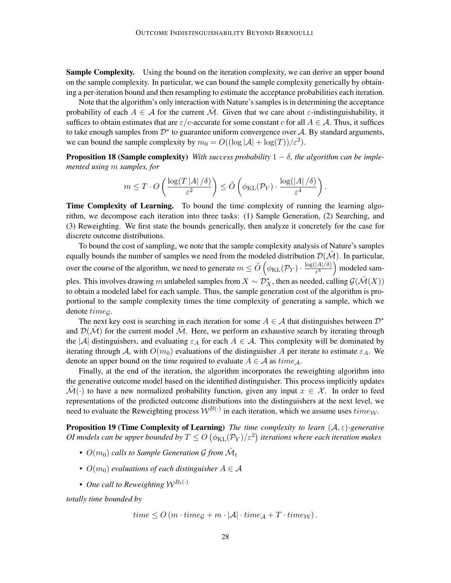**Sample Complexity.** Using the bound on the iteration complexity, we can derive an upper bound on the sample complexity. In particular, we can bound the sample complexity generically by obtaining a per-iteration bound and then resampling to estimate the acceptance probabilities each iteration.

Note that the algorithm's only interaction with Nature's samples is in determining the acceptance probability of each  $A \in \mathcal{A}$  for the current M. Given that we care about  $\varepsilon$ -indistinguishability, it suffices to obtain estimates that are  $\varepsilon/c$ -accurate for some constant c for all  $A \in \mathcal{A}$ . Thus, it suffices to take enough samples from  $\mathcal{D}^*$  to guarantee uniform convergence over  $\mathcal{A}$ . By standard arguments, we can bound the sample complexity by  $m_0 = O((\log |\mathcal{A}| + \log(T))/\varepsilon^2)$ .

**Proposition 18 (Sample complexity)** *With success probability*  $1 - \delta$ *, the algorithm can be implemented using* m *samples, for*

$$
m \leq T \cdot O\left(\frac{\log(T |A|/\delta)}{\varepsilon^2}\right) \leq \tilde{O}\left(\phi_{\text{KL}}(\mathcal{P}_Y) \cdot \frac{\log(|A|/\delta)}{\varepsilon^4}\right).
$$

Time Complexity of Learning. To bound the time complexity of running the learning algorithm, we decompose each iteration into three tasks: (1) Sample Generation, (2) Searching, and (3) Reweighting. We first state the bounds generically, then analyze it concretely for the case for discrete outcome distributions.

To bound the cost of sampling, we note that the sample complexity analysis of Nature's samples equally bounds the number of samples we need from the modeled distribution  $\mathcal{D}(\mathcal{M})$ . In particular, over the course of the algorithm, we need to generate  $m \leq \tilde{O}\left(\phi_{\text{KL}}(\mathcal{P}_Y) \cdot \frac{\log(|A|/\delta)}{\varepsilon^4}\right)$  $\frac{|A|/\delta)}{\epsilon^4}$  modeled samples. This involves drawing m unlabeled samples from  $X\sim \mathcal{D}^*_X$ , then as needed, calling  $\mathcal{G}(\tilde{\mathcal{M}}(X))$ to obtain a modeled label for each sample. Thus, the sample generation cost of the algorithm is proportional to the sample complexity times the time complexity of generating a sample, which we denote time<sub>G</sub>.

The next key cost is searching in each iteration for some  $A \in \mathcal{A}$  that distinguishes between  $\mathcal{D}^*$ and  $\mathcal{D}(\tilde{\mathcal{M}})$  for the current model  $\tilde{\mathcal{M}}$ . Here, we perform an exhaustive search by iterating through the |A| distinguishers, and evaluating  $\varepsilon_A$  for each  $A \in \mathcal{A}$ . This complexity will be dominated by iterating through A, with  $O(m_0)$  evaluations of the distinguisher A per iterate to estimate  $\varepsilon_A$ . We denote an upper bound on the time required to evaluate  $A \in \mathcal{A}$  as  $time_A$ .

Finally, at the end of the iteration, the algorithm incorporates the reweighting algorithm into the generative outcome model based on the identified distinguisher. This process implicitly updates  $\mathcal{M}(\cdot)$  to have a new normalized probability function, given any input  $x \in \mathcal{X}$ . In order to feed representations of the predicted outcome distributions into the distinguishers at the next level, we need to evaluate the Reweighting process  $W^{B(\cdot)}$  in each iteration, which we assume uses  $\text{time}_{\mathcal{W}}$ .

Proposition 19 (Time Complexity of Learning) *The time complexity to learn* (A, ε)*-generative* OI models can be upper bounded by  $T \leq O\left(\phi_{\mathrm{KL}}(\mathcal{P}_Y)/\varepsilon^2\right)$  iterations where each iteration makes

- $O(m_0)$  calls to Sample Generation G from  $\tilde{\mathcal{M}}_t$
- $O(m_0)$  *evaluations of each distinguisher*  $A \in \mathcal{A}$
- *One call to Reweighting*  $W^{B_t(\cdot)}$

*totally time bounded by*

$$
time \le O(m \cdot time_G + m \cdot |\mathcal{A}| \cdot time_{\mathcal{A}} + T \cdot time_W).
$$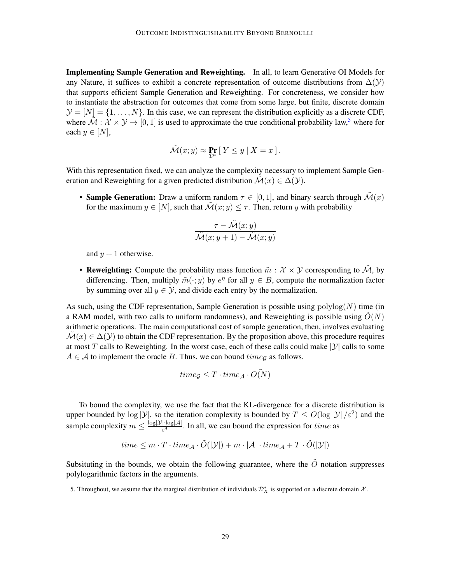Implementing Sample Generation and Reweighting. In all, to learn Generative OI Models for any Nature, it suffices to exhibit a concrete representation of outcome distributions from  $\Delta(Y)$ that supports efficient Sample Generation and Reweighting. For concreteness, we consider how to instantiate the abstraction for outcomes that come from some large, but finite, discrete domain  $\mathcal{Y} = [N] = \{1, \ldots, N\}$ . In this case, we can represent the distribution explicitly as a discrete CDF, where  $\tilde{\mathcal{M}}$  :  $\mathcal{X} \times \mathcal{Y} \rightarrow [0, 1]$  is used to approximate the true conditional probability law,<sup>[5](#page-28-0)</sup> where for each  $y \in [N]$ ,

$$
\tilde{\mathcal{M}}(x;y) \approx \Pr_{\mathcal{D}^*} \left[ \, Y \leq y \; | \; X = x \, \right].
$$

With this representation fixed, we can analyze the complexity necessary to implement Sample Generation and Reweighting for a given predicted distribution  $\mathcal{M}(x) \in \Delta(\mathcal{Y})$ .

• Sample Generation: Draw a uniform random  $\tau \in [0, 1]$ , and binary search through  $\mathcal{M}(x)$ for the maximum  $y \in [N]$ , such that  $\mathcal{M}(x; y) \leq \tau$ . Then, return y with probability

$$
\frac{\tau - \tilde{\mathcal{M}}(x; y)}{\tilde{\mathcal{M}}(x; y + 1) - \tilde{\mathcal{M}}(x; y)}
$$

and  $y + 1$  otherwise.

• Reweighting: Compute the probability mass function  $\tilde{m}: \mathcal{X} \times \mathcal{Y}$  corresponding to  $\tilde{\mathcal{M}}$ , by differencing. Then, multiply  $\tilde{m}(\cdot; y)$  by  $e^{\eta}$  for all  $y \in B$ , compute the normalization factor by summing over all  $y \in \mathcal{Y}$ , and divide each entry by the normalization.

As such, using the CDF representation, Sample Generation is possible using  $polylog(N)$  time (in a RAM model, with two calls to uniform randomness), and Reweighting is possible using  $O(N)$ arithmetic operations. The main computational cost of sample generation, then, involves evaluating  $\mathcal{M}(x) \in \Delta(\mathcal{Y})$  to obtain the CDF representation. By the proposition above, this procedure requires at most T calls to Reweighting. In the worst case, each of these calls could make  $|y|$  calls to some  $A \in \mathcal{A}$  to implement the oracle B. Thus, we can bound  $time_G$  as follows.

$$
time_{\mathcal{G}} \leq T \cdot time_{\mathcal{A}} \cdot O(N)
$$

To bound the complexity, we use the fact that the KL-divergence for a discrete distribution is upper bounded by  $\log |\mathcal{Y}|$ , so the iteration complexity is bounded by  $T \le O(\log |\mathcal{Y}|/\varepsilon^2)$  and the sample complexity  $m \leq \frac{\log |\mathcal{Y}| \cdot \log |\mathcal{A}|}{\epsilon^4}$  $\frac{[\text{log} |A|]}{\varepsilon^4}$ . In all, we can bound the expression for *time* as

$$
time \leq m \cdot T \cdot time_{\mathcal{A}} \cdot \tilde{O}(|\mathcal{Y}|) + m \cdot |\mathcal{A}| \cdot time_{\mathcal{A}} + T \cdot \tilde{O}(|\mathcal{Y}|)
$$

Subsituting in the bounds, we obtain the following guarantee, where the  $\tilde{O}$  notation suppresses polylogarithmic factors in the arguments.

<span id="page-28-0"></span><sup>5.</sup> Throughout, we assume that the marginal distribution of individuals  $\mathcal{D}_X^*$  is supported on a discrete domain  $\mathcal{X}$ .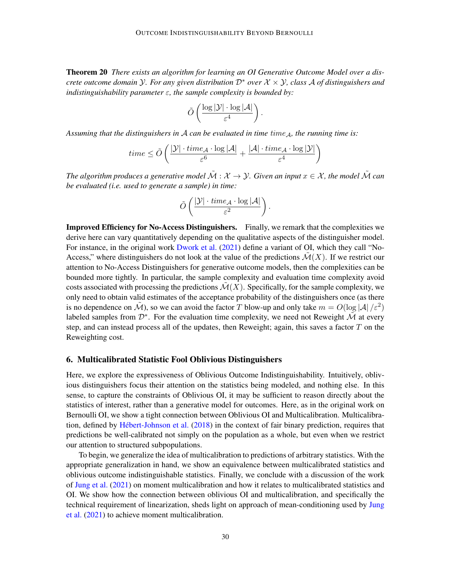Theorem 20 *There exists an algorithm for learning an OI Generative Outcome Model over a discrete outcome domain*  $\mathcal{Y}$ *. For any given distribution*  $\mathcal{D}^*$  *over*  $\mathcal{X} \times \mathcal{Y}$ *, class* A *of distinguishers and indistinguishability parameter* ε*, the sample complexity is bounded by:*

$$
\tilde{O}\left(\frac{\log |\mathcal{Y}| \cdot \log |\mathcal{A}|}{\varepsilon^4}\right).
$$

*Assuming that the distinguishers in A can be evaluated in time time<sub>A</sub>, the running time is:* 

$$
time \leq \tilde{O}\left(\frac{|\mathcal{Y}| \cdot time_{\mathcal{A}} \cdot \log |\mathcal{A}|}{\varepsilon^6} + \frac{|\mathcal{A}| \cdot time_{\mathcal{A}} \cdot \log |\mathcal{Y}|}{\varepsilon^4}\right)
$$

*The algorithm produces a generative model*  $\tilde{\mathcal{M}}$  :  $\mathcal{X} \to \mathcal{Y}$ . Given an input  $x \in \mathcal{X}$ , the model  $\tilde{\mathcal{M}}$  can *be evaluated (i.e. used to generate a sample) in time:*

$$
\tilde{O}\left(\frac{|\mathcal{Y}| \cdot \mathrm{time}_{\mathcal{A}} \cdot \log |\mathcal{A}|}{\varepsilon^2}\right).
$$

Improved Efficiency for No-Access Distinguishers. Finally, we remark that the complexities we derive here can vary quantitatively depending on the qualitative aspects of the distinguisher model. For instance, in the original work [Dwork et al.](#page-37-0) [\(2021\)](#page-37-0) define a variant of OI, which they call "No-Access," where distinguishers do not look at the value of the predictions  $\mathcal{M}(X)$ . If we restrict our attention to No-Access Distinguishers for generative outcome models, then the complexities can be bounded more tightly. In particular, the sample complexity and evaluation time complexity avoid costs associated with processing the predictions  $\mathcal{M}(X)$ . Specifically, for the sample complexity, we only need to obtain valid estimates of the acceptance probability of the distinguishers once (as there is no dependence on  $\tilde{M}$ ), so we can avoid the factor T blow-up and only take  $m = O(\log |\mathcal{A}|/\varepsilon^2)$ labeled samples from  $\mathcal{D}^*$ . For the evaluation time complexity, we need not Reweight  $\tilde{\mathcal{M}}$  at every step, and can instead process all of the updates, then Reweight; again, this saves a factor  $T$  on the Reweighting cost.

## <span id="page-29-0"></span>6. Multicalibrated Statistic Fool Oblivious Distinguishers

Here, we explore the expressiveness of Oblivious Outcome Indistinguishability. Intuitively, oblivious distinguishers focus their attention on the statistics being modeled, and nothing else. In this sense, to capture the constraints of Oblivious OI, it may be sufficient to reason directly about the statistics of interest, rather than a generative model for outcomes. Here, as in the original work on Bernoulli OI, we show a tight connection between Oblivious OI and Multicalibration. Multicalibra-tion, defined by Hébert-Johnson et al. [\(2018\)](#page-38-5) in the context of fair binary prediction, requires that predictions be well-calibrated not simply on the population as a whole, but even when we restrict our attention to structured subpopulations.

To begin, we generalize the idea of multicalibration to predictions of arbitrary statistics. With the appropriate generalization in hand, we show an equivalence between multicalibrated statistics and oblivious outcome indistinguishable statistics. Finally, we conclude with a discussion of the work of [Jung et al.](#page-38-1) [\(2021\)](#page-38-1) on moment multicalibration and how it relates to multicalibrated statistics and OI. We show how the connection between oblivious OI and multicalibration, and specifically the technical requirement of linearization, sheds light on approach of mean-conditioning used by [Jung](#page-38-1) [et al.](#page-38-1) [\(2021\)](#page-38-1) to achieve moment multicalibration.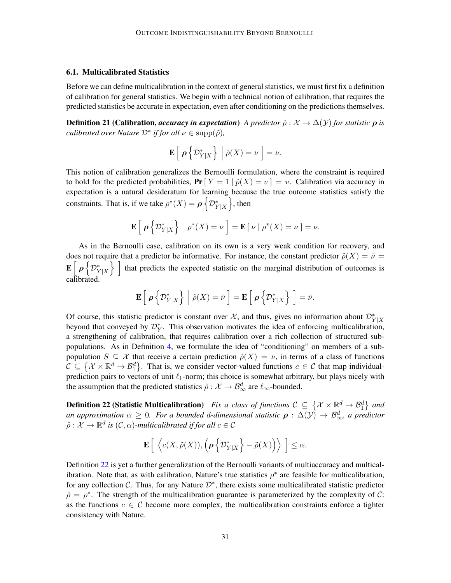#### 6.1. Multicalibrated Statistics

Before we can define multicalibration in the context of general statistics, we must first fix a definition of calibration for general statistics. We begin with a technical notion of calibration, that requires the predicted statistics be accurate in expectation, even after conditioning on the predictions themselves.

**Definition 21 (Calibration,** *accuracy in expectation***)** *A predictor*  $\tilde{\rho}: \mathcal{X} \to \Delta(\mathcal{Y})$  *for statistic*  $\rho$  *is calibrated over Nature*  $\mathcal{D}^*$  *if for all*  $\nu \in \text{supp}(\tilde{\rho})$ *,* 

$$
\mathbf{E}\left[\left.\rho\left\{\mathcal{D}_{Y|X}^*\right\}\ \right|\ \tilde{\rho}(X)=\nu\right]=\nu.
$$

This notion of calibration generalizes the Bernoulli formulation, where the constraint is required to hold for the predicted probabilities,  $Pr[Y = 1 | \tilde{p}(X) = v] = v$ . Calibration via accuracy in expectation is a natural desideratum for learning because the true outcome statistics satisfy the constraints. That is, if we take  $\rho^*(X) = \rho \left\{ \mathcal{D}_{Y|X}^* \right\}$ , then

$$
\mathbf{E}\left[\left.\rho\left\{\mathcal{D}_{Y|X}^*\right\}\right|\left.\rho^*(X)=\nu\right.\right]=\mathbf{E}\left[\left.\nu\right.\right|\left.\rho^*(X)=\nu\right.\right]=\nu.
$$

As in the Bernoulli case, calibration on its own is a very weak condition for recovery, and does not require that a predictor be informative. For instance, the constant predictor  $\tilde{\rho}(X) = \bar{\nu}$  $\mathbf{E}\Big[\,\boldsymbol{\rho} \,\Big\{ \mathcal{D}^*_{Y|X}$ that predicts the expected statistic on the marginal distribution of outcomes is calibrated.

$$
\mathbf{E}\left[\left.\boldsymbol{\rho}\left\{\mathcal{D}_{Y|X}^*\right\}\ \right|\ \tilde{\rho}(X)=\bar{\nu}\ \right]=\mathbf{E}\left[\left.\boldsymbol{\rho}\left\{\mathcal{D}_{Y|X}^*\right\}\ \right]=\bar{\nu}.
$$

Of course, this statistic predictor is constant over  $\mathcal{X}$ , and thus, gives no information about  $\mathcal{D}_{Y|X}^*$ beyond that conveyed by  $\mathcal{D}_Y^*$ . This observation motivates the idea of enforcing multicalibration, a strengthening of calibration, that requires calibration over a rich collection of structured subpopulations. As in Definition [4,](#page-16-2) we formulate the idea of "conditioning" on members of a subpopulation  $S \subseteq \mathcal{X}$  that receive a certain prediction  $\tilde{\rho}(X) = \nu$ , in terms of a class of functions  $C \subseteq \{X \times \mathbb{R}^d \to \mathcal{B}_1^d\}$ . That is, we consider vector-valued functions  $c \in C$  that map individualprediction pairs to vectors of unit  $\ell_1$ -norm; this choice is somewhat arbitrary, but plays nicely with the assumption that the predicted statistics  $\tilde{\rho}: \mathcal{X} \to \mathcal{B}_{\infty}^d$  are  $\ell_{\infty}$ -bounded.

<span id="page-30-0"></span>**Definition 22 (Statistic Multicalibration)** Fix a class of functions  $\mathcal{C} \subseteq \{ \mathcal{X} \times \mathbb{R}^d \to \mathcal{B}_1^d \}$  and *an approximation*  $\alpha \geq 0$ . For a bounded d-dimensional statistic  $\rho : \Delta(y) \to \mathcal{B}^d_{\infty}$ , a predictor  $\tilde{\rho}: \mathcal{X} \to \mathbb{R}^d$  is  $(\mathcal{C}, \alpha)$ -multicalibrated if for all  $c \in \mathcal{C}$ 

$$
\mathbf{E}\left[\left\langle c(X,\tilde{\rho}(X)),\left(\boldsymbol{\rho}\left\{ \mathcal{D}_{Y|X}^*\right\}-\tilde{\rho}(X)\right)\right\rangle\ \right]\leq\alpha.
$$

Definition [22](#page-30-0) is yet a further generalization of the Bernoulli variants of multiaccuracy and multicalibration. Note that, as with calibration, Nature's true statistics  $\rho^*$  are feasible for multicalibration, for any collection  $\mathcal{C}$ . Thus, for any Nature  $\mathcal{D}^*$ , there exists some multicalibrated statistic predictor  $\tilde{\rho} = \rho^*$ . The strength of the multicalibration guarantee is parameterized by the complexity of C: as the functions  $c \in \mathcal{C}$  become more complex, the multicalibration constraints enforce a tighter consistency with Nature.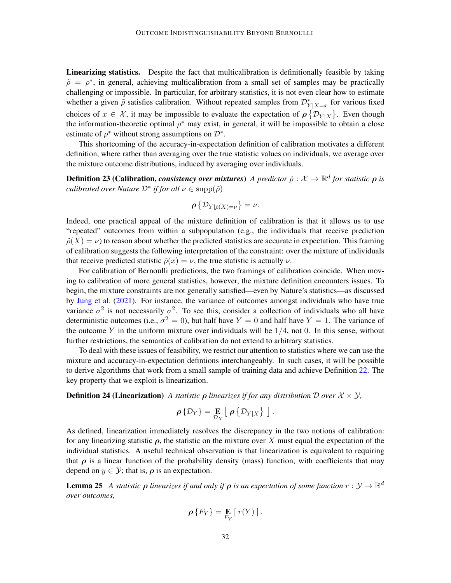Linearizing statistics. Despite the fact that multicalibration is definitionally feasible by taking  $\tilde{\rho} = \rho^*$ , in general, achieving multicalibration from a small set of samples may be practically challenging or impossible. In particular, for arbitrary statistics, it is not even clear how to estimate whether a given  $\tilde{\rho}$  satisfies calibration. Without repeated samples from  $\mathcal{D}_{Y|X=x}^*$  for various fixed choices of  $x \in \mathcal{X}$ , it may be impossible to evaluate the expectation of  $\rho \{ \mathcal{D}_{Y|X} \}$ . Even though the information-theoretic optimal  $\rho^*$  may exist, in general, it will be impossible to obtain a close estimate of  $\rho^*$  without strong assumptions on  $\mathcal{D}^*$ .

This shortcoming of the accuracy-in-expectation definition of calibration motivates a different definition, where rather than averaging over the true statistic values on individuals, we average over the mixture outcome distributions, induced by averaging over individuals.

**Definition 23 (Calibration,** *consistency over mixtures***)** *A predictor*  $\tilde{\rho}: \mathcal{X} \to \mathbb{R}^d$  for statistic  $\rho$  is *calibrated over Nature*  $\mathcal{D}^*$  *if for all*  $\nu \in \text{supp}(\tilde{\rho})$ 

$$
\boldsymbol{\rho} \left\{ \mathcal{D}_{Y|\tilde{\rho}(X)=\nu} \right\} = \nu.
$$

Indeed, one practical appeal of the mixture definition of calibration is that it allows us to use "repeated" outcomes from within a subpopulation (e.g., the individuals that receive prediction  $\tilde{\rho}(X) = \nu$ ) to reason about whether the predicted statistics are accurate in expectation. This framing of calibration suggests the following interpretation of the constraint: over the mixture of individuals that receive predicted statistic  $\tilde{\rho}(x) = \nu$ , the true statistic is actually  $\nu$ .

For calibration of Bernoulli predictions, the two framings of calibration coincide. When moving to calibration of more general statistics, however, the mixture definition encounters issues. To begin, the mixture constraints are not generally satisfied—even by Nature's statistics—as discussed by [Jung et al.](#page-38-1) [\(2021\)](#page-38-1). For instance, the variance of outcomes amongst individuals who have true variance  $\sigma^2$  is not necessarily  $\sigma^2$ . To see this, consider a collection of individuals who all have deterministic outcomes (i.e.,  $\sigma^2 = 0$ ), but half have  $Y = 0$  and half have  $Y = 1$ . The variance of the outcome Y in the uniform mixture over individuals will be  $1/4$ , not 0. In this sense, without further restrictions, the semantics of calibration do not extend to arbitrary statistics.

To deal with these issues of feasibility, we restrict our attention to statistics where we can use the mixture and accuracy-in-expectation defintions interchangeably. In such cases, it will be possible to derive algorithms that work from a small sample of training data and achieve Definition [22.](#page-30-0) The key property that we exploit is linearization.

**Definition 24 (Linearization)** A statistic  $\rho$  linearizes if for any distribution D over  $\mathcal{X} \times \mathcal{Y}$ ,

$$
\rho\{\mathcal{D}_Y\} = \mathop{\mathbf{E}}_{\mathcal{D}_X} \left[\ \rho\{\mathcal{D}_{Y|X}\}\ \right].
$$

As defined, linearization immediately resolves the discrepancy in the two notions of calibration: for any linearizing statistic  $\rho$ , the statistic on the mixture over X must equal the expectation of the individual statistics. A useful technical observation is that linearization is equivalent to requiring that  $\rho$  is a linear function of the probability density (mass) function, with coefficients that may depend on  $y \in \mathcal{Y}$ ; that is,  $\rho$  is an expectation.

**Lemma 25** A statistic  $\rho$  linearizes if and only if  $\rho$  is an expectation of some function  $r: \mathcal{Y} \to \mathbb{R}^d$ *over outcomes,*

<span id="page-31-0"></span>
$$
\rho\{F_Y\} = \mathop{\mathbf{E}}_{F_Y} [r(Y)].
$$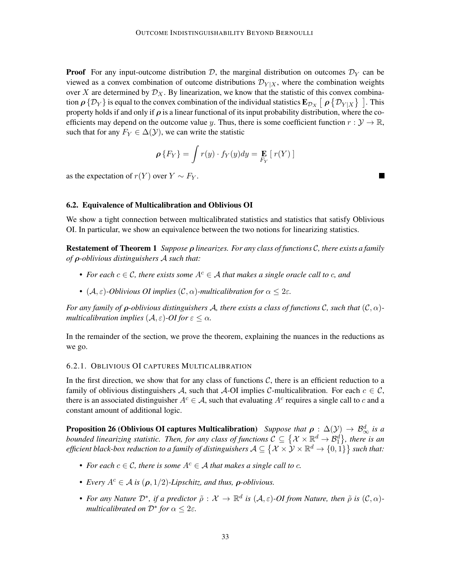**Proof** For any input-outcome distribution D, the marginal distribution on outcomes  $\mathcal{D}_Y$  can be viewed as a convex combination of outcome distributions  $\mathcal{D}_{Y|X}$ , where the combination weights over X are determined by  $\mathcal{D}_X$ . By linearization, we know that the statistic of this convex combination  $\rho$   $\{ \mathcal{D}_Y\}$  is equal to the convex combination of the individual statistics  ${\bf E}_{\mathcal{D}_X}$   $[$   $\rho$   $\{ \mathcal{D}_{Y|X}\}$   $]$  . This property holds if and only if  $\rho$  is a linear functional of its input probability distribution, where the coefficients may depend on the outcome value y. Thus, there is some coefficient function  $r : \mathcal{Y} \to \mathbb{R}$ , such that for any  $F_Y \in \Delta(\mathcal{Y})$ , we can write the statistic

$$
\rho\{F_Y\} = \int r(y) \cdot f_Y(y) dy = \mathop{\mathbf{E}}_{F_Y} [r(Y)]
$$

as the expectation of  $r(Y)$  over  $Y \sim F_Y$ .

#### 6.2. Equivalence of Multicalibration and Oblivious OI

We show a tight connection between multicalibrated statistics and statistics that satisfy Oblivious OI. In particular, we show an equivalence between the two notions for linearizing statistics.

Restatement of Theorem 1 *Suppose* ρ *linearizes. For any class of functions* C*, there exists a family of* ρ*-oblivious distinguishers* A *such that:*

- For each  $c \in \mathcal{C}$ , there exists some  $A^c \in \mathcal{A}$  that makes a single oracle call to c, and
- $(A, \varepsilon)$ *-Oblivious OI implies*  $(C, \alpha)$ *-multicalibration for*  $\alpha \leq 2\varepsilon$ *.*

*For any family of* ρ*-oblivious distinguishers* A*, there exists a class of functions* C*, such that* (C, α) *multicalibration implies*  $(A, \varepsilon)$ -*OI* for  $\varepsilon \leq \alpha$ .

In the remainder of the section, we prove the theorem, explaining the nuances in the reductions as we go.

# <span id="page-32-0"></span>6.2.1. OBLIVIOUS OI CAPTURES MULTICALIBRATION

In the first direction, we show that for any class of functions  $C$ , there is an efficient reduction to a family of oblivious distinguishers A, such that A-OI implies C-multicalibration. For each  $c \in \mathcal{C}$ , there is an associated distinguisher  $A^c \in \mathcal{A}$ , such that evaluating  $A^c$  requires a single call to c and a constant amount of additional logic.

Proposition 26 (Oblivious OI captures Multicalibration) *Suppose that*  $\rho$  :  $\Delta(\mathcal{Y})\to\mathcal{B}_{\infty}^d$  *is a bounded linearizing statistic. Then, for any class of functions*  $C \subseteq \{X\times\mathbb{R}^d \to \mathcal{B}_1^d\}$ , there is an *efficient black-box reduction to a family of distinguishers*  $A\subseteq \{ \mathcal{X}\times\mathcal{Y}\times\mathbb{R}^d\to \{0,1\}\}$  *such that:* 

- For each  $c \in \mathcal{C}$ , there is some  $A^c \in \mathcal{A}$  that makes a single call to c.
- *Every*  $A^c \in \mathcal{A}$  *is* ( $\rho$ , 1/2)*-Lipschitz, and thus,*  $\rho$ *-oblivious.*
- For any Nature  $\mathcal{D}^*$ , if a predictor  $\tilde{\rho}: \mathcal{X} \to \mathbb{R}^d$  is  $(\mathcal{A}, \varepsilon)$ -OI from Nature, then  $\tilde{\rho}$  is  $(\mathcal{C}, \alpha)$ *multicalibrated on*  $\mathcal{D}^*$  *for*  $\alpha \leq 2\varepsilon$ *.*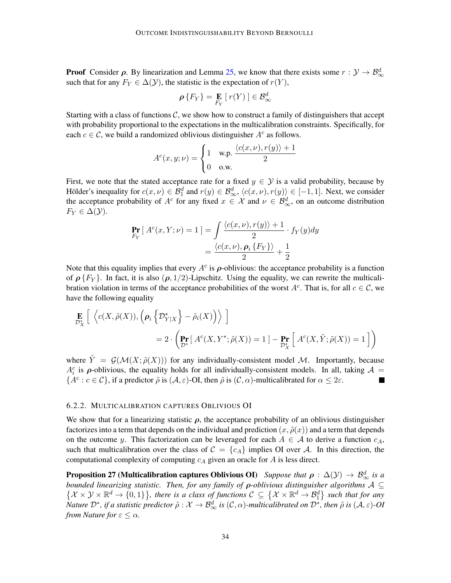**Proof** Consider  $\rho$ . By linearization and Lemma [25,](#page-31-0) we know that there exists some  $r : \mathcal{Y} \to \mathcal{B}^d_{\infty}$ such that for any  $F_Y \in \Delta(\mathcal{Y})$ , the statistic is the expectation of  $r(Y)$ ,

$$
\rho\left\{F_Y\right\} = \mathop{\mathbf{E}}_{F_Y} \left[ r(Y) \right] \in \mathcal{B}_{\infty}^d
$$

Starting with a class of functions  $C$ , we show how to construct a family of distinguishers that accept with probability proportional to the expectations in the multicalibration constraints. Specifically, for each  $c \in \mathcal{C}$ , we build a randomized oblivious distinguisher  $A^c$  as follows.

$$
A^{c}(x, y; \nu) = \begin{cases} 1 & \text{w.p.} \ \frac{\langle c(x, \nu), r(y) \rangle + 1}{2} \\ 0 & \text{o.w.} \end{cases}
$$

First, we note that the stated acceptance rate for a fixed  $y \in \mathcal{Y}$  is a valid probability, because by Hölder's inequality for  $c(x,\nu) \in \mathcal{B}_1^d$  and  $r(y) \in \mathcal{B}_\infty^d$ ,  $\langle c(x,\nu), r(y) \rangle \in [-1,1]$ . Next, we consider the acceptance probability of  $A^c$  for any fixed  $x \in \mathcal{X}$  and  $\nu \in \mathcal{B}_{\infty}^d$ , on an outcome distribution  $F_Y \in \Delta(\mathcal{Y})$ .

$$
\Pr_{F_Y} [ A^c(x, Y; \nu) = 1 ] = \int \frac{\langle c(x, \nu), r(y) \rangle + 1}{2} \cdot f_Y(y) dy
$$

$$
= \frac{\langle c(x, \nu), \rho_i \{F_Y\} \rangle}{2} + \frac{1}{2}
$$

Note that this equality implies that every  $A^c$  is  $\rho$ -oblivious: the acceptance probability is a function of  $\rho \{F_Y\}$ . In fact, it is also  $(\rho, 1/2)$ -Lipschitz. Using the equality, we can rewrite the multicalibration violation in terms of the acceptance probabilities of the worst  $A^c$ . That is, for all  $c \in \mathcal{C}$ , we have the following equality

$$
\mathbf{E}_{\mathcal{D}_{X}^{*}}\left[\ \left\langle c(X,\tilde{\rho}(X)),\left(\mathbf{\rho}_{i}\left\{ \mathcal{D}_{Y|X}^{*}\right\} - \tilde{\rho}_{i}(X)\right)\right\rangle \right]
$$
\n
$$
= 2 \cdot \left(\mathbf{Pr}\left[A^{c}(X,Y^{*};\tilde{\rho}(X)) = 1\right] - \mathbf{Pr}\left[A^{c}(X,\tilde{Y};\tilde{\rho}(X)) = 1\right]\right)
$$

where  $\tilde{Y} = \mathcal{G}(\mathcal{M}(X;\tilde{\rho}(X)))$  for any individually-consistent model M. Importantly, because  $A_i^c$  is  $\rho$ -oblivious, the equality holds for all individually-consistent models. In all, taking  $\mathcal{A}$  =  $\{A^c: c \in \mathcal{C}\}$ , if a predictor  $\tilde{\rho}$  is  $(\mathcal{A}, \varepsilon)$ -OI, then  $\tilde{\rho}$  is  $(\mathcal{C}, \alpha)$ -multicalibrated for  $\alpha \leq 2\varepsilon$ .  $\blacksquare$ 

#### <span id="page-33-0"></span>6.2.2. MULTICALIBRATION CAPTURES OBLIVIOUS OI

We show that for a linearizing statistic  $\rho$ , the acceptance probability of an oblivious distinguisher factorizes into a term that depends on the individual and prediction  $(x, \tilde{\rho}(x))$  and a term that depends on the outcome y. This factorization can be leveraged for each  $A \in \mathcal{A}$  to derive a function  $c_A$ , such that multicalibration over the class of  $C = \{c_A\}$  implies OI over A. In this direction, the computational complexity of computing  $c_A$  given an oracle for  $A$  is less direct.

Proposition 27 (Multicalibration captures Oblivious OI) *Suppose that*  $\rho:\Delta({\cal Y})\to {\cal B}_{\infty}^d$  *is a bounded linearizing statistic. Then, for any family of* ρ*-oblivious distinguisher algorithms* A ⊆  $\{X\times Y\times\mathbb{R}^d\to\{0,1\}\}\$ , there is a class of functions  $\mathcal{C}\subseteq\{X\times\mathbb{R}^d\to\mathcal{B}_1^d\}$  such that for any  $N$ ature  $\mathcal{D}^*$ , if a statistic predictor  $\tilde\rho:\mathcal{X}\to\mathcal{B}^d_\infty$  is  $(\mathcal{C},\alpha)$ -multicalibrated on  $\mathcal{D}^*$ , then  $\tilde\rho$  is  $(\mathcal{A},\varepsilon)$ -OI *from Nature for*  $\varepsilon \leq \alpha$ *.*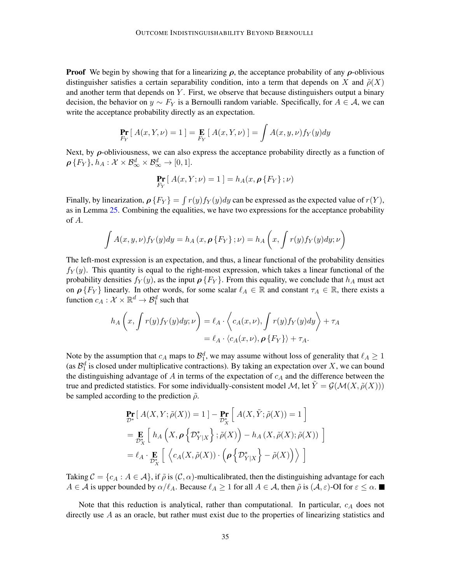**Proof** We begin by showing that for a linearizing  $\rho$ , the acceptance probability of any  $\rho$ -oblivious distinguisher satisfies a certain separability condition, into a term that depends on X and  $\tilde{\rho}(X)$ and another term that depends on  $Y$ . First, we observe that because distinguishers output a binary decision, the behavior on  $y \sim F_Y$  is a Bernoulli random variable. Specifically, for  $A \in \mathcal{A}$ , we can write the acceptance probability directly as an expectation.

$$
\Pr_{F_Y} [A(x, Y, \nu) = 1] = \Pr_{F_Y} [A(x, Y, \nu)] = \int A(x, y, \nu) f_Y(y) dy
$$

Next, by  $\rho$ -obliviousness, we can also express the acceptance probability directly as a function of  $\rho\left\{F_Y\right\}$ ,  $h_A: \mathcal{X} \times \mathcal{B}_{\infty}^d \times \mathcal{B}_{\infty}^d \to [0,1].$ 

$$
\Pr_{F_Y} [A(x, Y; \nu) = 1] = h_A(x, \rho \{F_Y\}; \nu)
$$

Finally, by linearization,  $\rho \{ F_Y \} = \int r(y) f_Y(y) dy$  can be expressed as the expected value of  $r(Y)$ , as in Lemma [25.](#page-31-0) Combining the equalities, we have two expressions for the acceptance probability of A.

$$
\int A(x,y,\nu) f_Y(y) dy = h_A(x, \rho \{F_Y\}; \nu) = h_A\left(x, \int r(y) f_Y(y) dy; \nu\right)
$$

The left-most expression is an expectation, and thus, a linear functional of the probability densities  $f_Y(y)$ . This quantity is equal to the right-most expression, which takes a linear functional of the probability densities  $f_Y(y)$ , as the input  $\rho \{F_Y\}$ . From this equality, we conclude that  $h_A$  must act on  $\rho \{F_Y\}$  linearly. In other words, for some scalar  $\ell_A \in \mathbb{R}$  and constant  $\tau_A \in \mathbb{R}$ , there exists a function  $c_A: \mathcal{X} \times \mathbb{R}^d \to \mathcal{B}_1^d$  such that

$$
h_A\left(x, \int r(y)f_Y(y)dy; \nu\right) = \ell_A \cdot \left\langle c_A(x, \nu), \int r(y)f_Y(y)dy \right\rangle + \tau_A
$$
  
=  $\ell_A \cdot \left\langle c_A(x, \nu), \rho\left\{F_Y\right\}\right\rangle + \tau_A.$ 

Note by the assumption that  $c_A$  maps to  $\mathcal{B}_1^d$ , we may assume without loss of generality that  $\ell_A \geq 1$ (as  $\mathcal{B}_1^d$  is closed under multiplicative contractions). By taking an expectation over X, we can bound the distinguishing advantage of  $A$  in terms of the expectation of  $c_A$  and the difference between the true and predicted statistics. For some individually-consistent model M, let  $\tilde{Y} = \mathcal{G}(\mathcal{M}(X, \tilde{\rho}(X)))$ be sampled according to the prediction  $\tilde{\rho}$ .

$$
\Pr_{\mathcal{D}^*} \left[ \ A(X, Y; \tilde{\rho}(X)) = 1 \right] - \Pr_{\mathcal{D}^*_{X}} \left[ \ A(X, \tilde{Y}; \tilde{\rho}(X)) = 1 \right]
$$
\n
$$
= \Pr_{\mathcal{D}^*_{X}} \left[ \ h_A \left( X, \rho \left\{ \mathcal{D}^*_{Y|X} \right\}; \tilde{\rho}(X) \right) - h_A \left( X, \tilde{\rho}(X); \tilde{\rho}(X) \right) \right]
$$
\n
$$
= \ell_A \cdot \Pr_{\mathcal{D}^*_{X}} \left[ \ \left\langle c_A(X, \tilde{\rho}(X)) \cdot \left( \rho \left\{ \mathcal{D}^*_{Y|X} \right\} - \tilde{\rho}(X) \right) \right\rangle \right]
$$

Taking  $C = \{c_A : A \in \mathcal{A}\}\$ , if  $\tilde{\rho}$  is  $(C, \alpha)$ -multicalibrated, then the distinguishing advantage for each  $A \in \mathcal{A}$  is upper bounded by  $\alpha/\ell_A$ . Because  $\ell_A \geq 1$  for all  $A \in \mathcal{A}$ , then  $\tilde{\rho}$  is  $(\mathcal{A}, \varepsilon)$ -OI for  $\varepsilon \leq \alpha$ .

Note that this reduction is analytical, rather than computational. In particular,  $c_A$  does not directly use  $A$  as an oracle, but rather must exist due to the properties of linearizing statistics and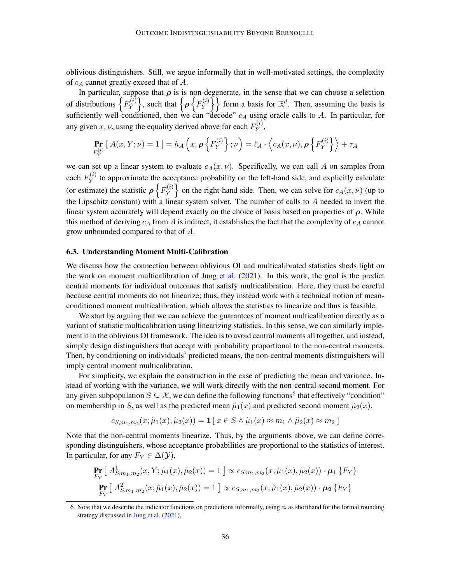oblivious distinguishers. Still, we argue informally that in well-motivated settings, the complexity of  $c_A$  cannot greatly exceed that of  $A$ .

In particular, suppose that  $\rho$  is is non-degenerate, in the sense that we can choose a selection of distributions  $\left\{F_Y^{(i)}\right\}$  $\left\{ \gamma_{Y}^{(i)} \right\}$ , such that  $\left\{ \rho \left\{ F_{Y}^{(i)} \right\} \right\}$  $\{Y^{(i)}\}\$  form a basis for  $\mathbb{R}^d$ . Then, assuming the basis is sufficiently well-conditioned, then we can "decode"  $c_A$  using oracle calls to A. In particular, for any given  $x, \nu$ , using the equality derived above for each  $F_Y^{(i)}$  $Y^{(i)},$ 

$$
\Pr_{F_Y^{(i)}}\left[A(x,Y;\nu) = 1\right] = h_A\left(x,\rho\left\{F_Y^{(i)}\right\};\nu\right) = \ell_A \cdot \left\langle c_A(x,\nu),\rho\left\{F_Y^{(i)}\right\}\right\rangle + \tau_A
$$

we can set up a linear system to evaluate  $c_A(x, \nu)$ . Specifically, we can call A on samples from each  $F_Y^{(i)}$  $Y<sup>(t)</sup>$  to approximate the acceptance probability on the left-hand side, and explicitly calculate (or estimate) the statistic  $\rho\left\{F_Y^{(i)}\right\}$  $\{Y^{(i)}\}$  on the right-hand side. Then, we can solve for  $c_A(x, \nu)$  (up to the Lipschitz constant) with a linear system solver. The number of calls to  $A$  needed to invert the linear system accurately will depend exactly on the choice of basis based on properties of  $\rho$ . While this method of deriving  $c_A$  from A is indirect, it establishes the fact that the complexity of  $c_A$  cannot grow unbounded compared to that of A.

#### <span id="page-35-0"></span>6.3. Understanding Moment Multi-Calibration

We discuss how the connection between oblivious OI and multicalibrated statistics sheds light on the work on moment multicalibration of [Jung et al.](#page-38-1)  $(2021)$ . In this work, the goal is the predict central moments for individual outcomes that satisfy multicalibration. Here, they must be careful because central moments do not linearize; thus, they instead work with a technical notion of meanconditioned moment multicalibration, which allows the statistics to linearize and thus is feasible.

We start by arguing that we can achieve the guarantees of moment multicalibration directly as a variant of statistic multicalibration using linearizing statistics. In this sense, we can similarly implement it in the oblivious OI framework. The idea is to avoid central moments all together, and instead, simply design distinguishers that accept with probability proportional to the non-central moments. Then, by conditioning on individuals' predicted means, the non-central moments distinguishers will imply central moment multicalibration.

For simplicity, we explain the construction in the case of predicting the mean and variance. Instead of working with the variance, we will work directly with the non-central second moment. For any given subpopulation  $S \subseteq \mathcal{X}$ , we can define the following functions<sup>[6](#page-35-1)</sup> that effectively "condition" on membership in S, as well as the predicted mean  $\tilde{\mu}_1(x)$  and predicted second moment  $\tilde{\mu}_2(x)$ .

$$
c_{S,m_1,m_2}(x;\tilde{\mu}_1(x),\tilde{\mu}_2(x)) = \mathbf{1}\left[\right.x \in S \land \tilde{\mu}_1(x) \approx m_1 \land \tilde{\mu}_2(x) \approx m_2\right]
$$

Note that the non-central moments linearize. Thus, by the arguments above, we can define corresponding distinguishers, whose acceptance probabilities are proportional to the statistics of interest. In particular, for any  $F_Y \in \Delta(\mathcal{Y})$ ,

$$
\Pr_{F_Y} \left[ A_{S,m_1,m_2}^1(x, Y; \tilde{\mu}_1(x), \tilde{\mu}_2(x)) = 1 \right] \propto c_{S,m_1,m_2}(x; \tilde{\mu}_1(x), \tilde{\mu}_2(x)) \cdot \mu_1 \{ F_Y \}
$$
\n
$$
\Pr_{F_Y} \left[ A_{S,m_1,m_2}^2(x; \tilde{\mu}_1(x), \tilde{\mu}_2(x)) = 1 \right] \propto c_{S,m_1,m_2}(x; \tilde{\mu}_1(x), \tilde{\mu}_2(x)) \cdot \mu_2 \{ F_Y \}
$$

<span id="page-35-1"></span><sup>6.</sup> Note that we describe the indicator functions on predictions informally, using  $\approx$  as shorthand for the formal rounding strategy discussed in [Jung et al.](#page-38-1) [\(2021\)](#page-38-1).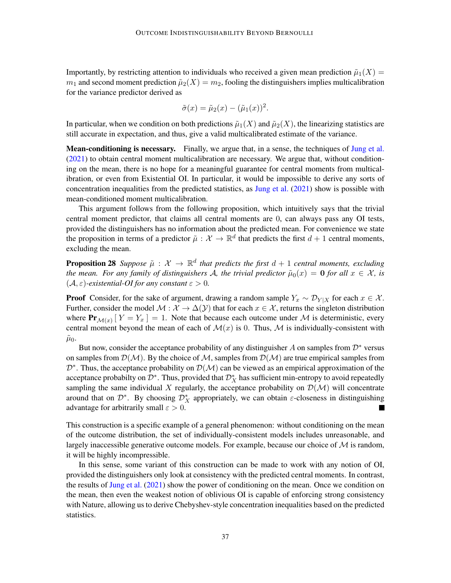Importantly, by restricting attention to individuals who received a given mean prediction  $\tilde{\mu}_1(X)$  =  $m_1$  and second moment prediction  $\tilde{\mu}_2(X) = m_2$ , fooling the distinguishers implies multicalibration for the variance predictor derived as

$$
\tilde{\sigma}(x) = \tilde{\mu}_2(x) - (\tilde{\mu}_1(x))^2.
$$

In particular, when we condition on both predictions  $\tilde{\mu}_1(X)$  and  $\tilde{\mu}_2(X)$ , the linearizing statistics are still accurate in expectation, and thus, give a valid multicalibrated estimate of the variance.

**Mean-conditioning is necessary.** Finally, we argue that, in a sense, the techniques of [Jung et al.](#page-38-1) [\(2021\)](#page-38-1) to obtain central moment multicalibration are necessary. We argue that, without conditioning on the mean, there is no hope for a meaningful guarantee for central moments from multicalibration, or even from Existential OI. In particular, it would be impossible to derive any sorts of concentration inequalities from the predicted statistics, as [Jung et al.](#page-38-1) [\(2021\)](#page-38-1) show is possible with mean-conditioned moment multicalibration.

This argument follows from the following proposition, which intuitively says that the trivial central moment predictor, that claims all central moments are 0, can always pass any OI tests, provided the distinguishers has no information about the predicted mean. For convenience we state the proposition in terms of a predictor  $\tilde{\mu}: \mathcal{X} \to \mathbb{R}^d$  that predicts the first  $d+1$  central moments, excluding the mean.

**Proposition 28** Suppose  $\tilde{\mu}: \mathcal{X} \to \mathbb{R}^d$  that predicts the first  $d+1$  central moments, excluding *the mean. For any family of distinguishers A, the trivial predictor*  $\tilde{\mu}_0(x) = 0$  *for all*  $x \in \mathcal{X}$ *, is*  $(A, \varepsilon)$ *-existential-OI for any constant*  $\varepsilon > 0$ *.* 

**Proof** Consider, for the sake of argument, drawing a random sample  $Y_x \sim \mathcal{D}_{Y|X}$  for each  $x \in \mathcal{X}$ . Further, consider the model  $M : \mathcal{X} \to \Delta(\mathcal{Y})$  that for each  $x \in \mathcal{X}$ , returns the singleton distribution where  $\Pr_{\mathcal{M}(x)}[Y=Y_x] = 1$ . Note that because each outcome under M is deterministic, every central moment beyond the mean of each of  $\mathcal{M}(x)$  is 0. Thus,  $\mathcal M$  is individually-consistent with  $\tilde{\mu}_0$ .

But now, consider the acceptance probability of any distinguisher A on samples from  $\mathcal{D}^*$  versus on samples from  $\mathcal{D}(\mathcal{M})$ . By the choice of  $\mathcal{M}$ , samples from  $\mathcal{D}(\mathcal{M})$  are true empirical samples from  $\mathcal{D}^*$ . Thus, the acceptance probability on  $\mathcal{D}(\mathcal{M})$  can be viewed as an empirical approximation of the acceptance probabilty on  $\mathcal{D}^*$ . Thus, provided that  $\mathcal{D}^*$  has sufficient min-entropy to avoid repeatedly sampling the same individual X regularly, the acceptance probability on  $\mathcal{D}(\mathcal{M})$  will concentrate around that on  $\mathcal{D}^*$ . By choosing  $\mathcal{D}^*$  appropriately, we can obtain  $\varepsilon$ -closeness in distinguishing advantage for arbitrarily small  $\varepsilon > 0$ .  $\blacksquare$ 

This construction is a specific example of a general phenomenon: without conditioning on the mean of the outcome distribution, the set of individually-consistent models includes unreasonable, and largely inaccessible generative outcome models. For example, because our choice of  $M$  is random, it will be highly incompressible.

In this sense, some variant of this construction can be made to work with any notion of OI, provided the distinguishers only look at consistency with the predicted central moments. In contrast, the results of [Jung et al.](#page-38-1) [\(2021\)](#page-38-1) show the power of conditioning on the mean. Once we condition on the mean, then even the weakest notion of oblivious OI is capable of enforcing strong consistency with Nature, allowing us to derive Chebyshev-style concentration inequalities based on the predicted statistics.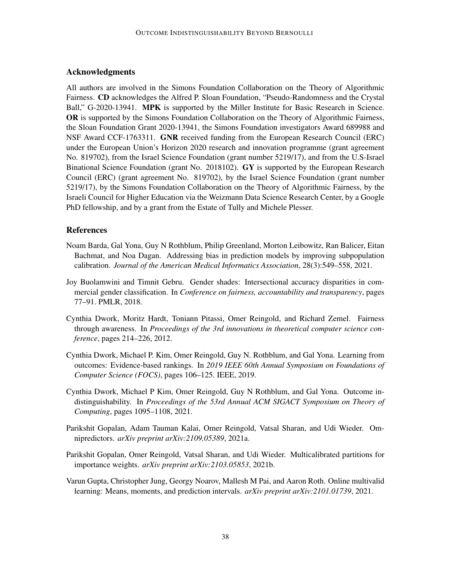# Acknowledgments

All authors are involved in the Simons Foundation Collaboration on the Theory of Algorithmic Fairness. CD acknowledges the Alfred P. Sloan Foundation, "Pseudo-Randomness and the Crystal Ball," G-2020-13941. MPK is supported by the Miller Institute for Basic Research in Science. OR is supported by the Simons Foundation Collaboration on the Theory of Algorithmic Fairness, the Sloan Foundation Grant 2020-13941, the Simons Foundation investigators Award 689988 and NSF Award CCF-1763311. GNR received funding from the European Research Council (ERC) under the European Union's Horizon 2020 research and innovation programme (grant agreement No. 819702), from the Israel Science Foundation (grant number 5219/17), and from the U.S-Israel Binational Science Foundation (grant No. 2018102). GY is supported by the European Research Council (ERC) (grant agreement No. 819702), by the Israel Science Foundation (grant number 5219/17), by the Simons Foundation Collaboration on the Theory of Algorithmic Fairness, by the Israeli Council for Higher Education via the Weizmann Data Science Research Center, by a Google PhD fellowship, and by a grant from the Estate of Tully and Michele Plesser.

# References

- <span id="page-37-2"></span>Noam Barda, Gal Yona, Guy N Rothblum, Philip Greenland, Morton Leibowitz, Ran Balicer, Eitan Bachmat, and Noa Dagan. Addressing bias in prediction models by improving subpopulation calibration. *Journal of the American Medical Informatics Association*, 28(3):549–558, 2021.
- <span id="page-37-1"></span>Joy Buolamwini and Timnit Gebru. Gender shades: Intersectional accuracy disparities in commercial gender classification. In *Conference on fairness, accountability and transparency*, pages 77–91. PMLR, 2018.
- <span id="page-37-4"></span>Cynthia Dwork, Moritz Hardt, Toniann Pitassi, Omer Reingold, and Richard Zemel. Fairness through awareness. In *Proceedings of the 3rd innovations in theoretical computer science conference*, pages 214–226, 2012.
- <span id="page-37-5"></span>Cynthia Dwork, Michael P. Kim, Omer Reingold, Guy N. Rothblum, and Gal Yona. Learning from outcomes: Evidence-based rankings. In *2019 IEEE 60th Annual Symposium on Foundations of Computer Science (FOCS)*, pages 106–125. IEEE, 2019.
- <span id="page-37-0"></span>Cynthia Dwork, Michael P Kim, Omer Reingold, Guy N Rothblum, and Gal Yona. Outcome indistinguishability. In *Proceedings of the 53rd Annual ACM SIGACT Symposium on Theory of Computing*, pages 1095–1108, 2021.
- <span id="page-37-3"></span>Parikshit Gopalan, Adam Tauman Kalai, Omer Reingold, Vatsal Sharan, and Udi Wieder. Omnipredictors. *arXiv preprint arXiv:2109.05389*, 2021a.
- <span id="page-37-7"></span>Parikshit Gopalan, Omer Reingold, Vatsal Sharan, and Udi Wieder. Multicalibrated partitions for importance weights. *arXiv preprint arXiv:2103.05853*, 2021b.
- <span id="page-37-6"></span>Varun Gupta, Christopher Jung, Georgy Noarov, Mallesh M Pai, and Aaron Roth. Online multivalid learning: Means, moments, and prediction intervals. *arXiv preprint arXiv:2101.01739*, 2021.